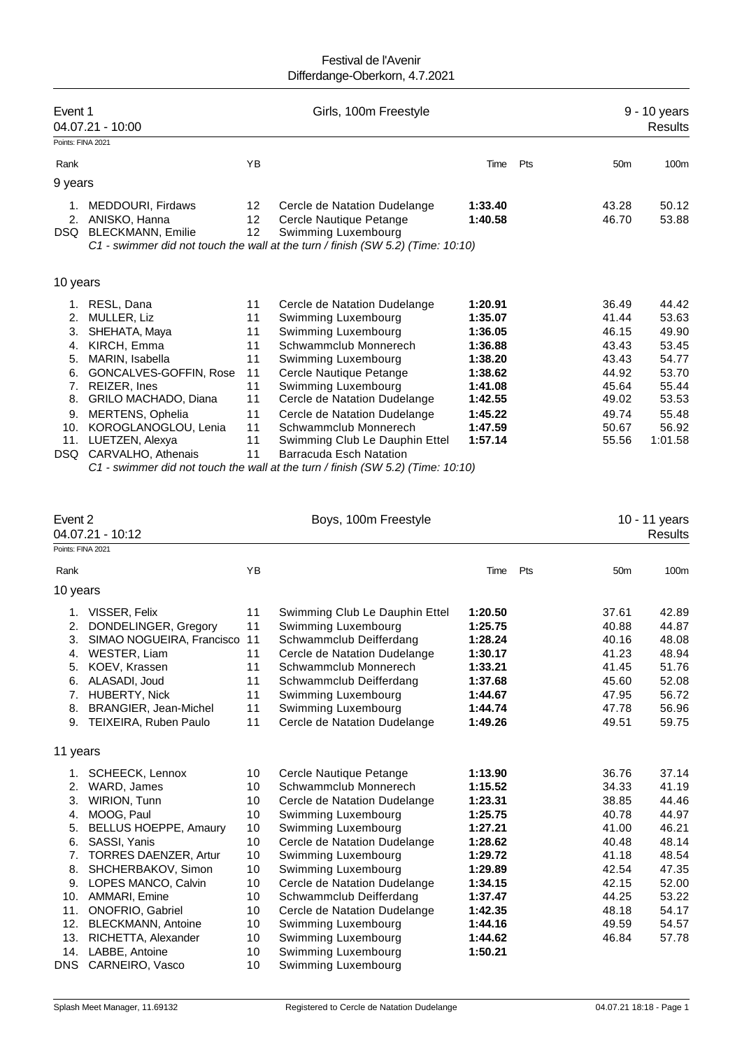| Event 1<br>Points: FINA 2021                                             | 04.07.21 - 10:00                                                                                                                                                                                                                    |                                                                      | Girls, 100m Freestyle                                                                                                                                                                                                                                                                                                                                                                                                 |                                                                                                                       |     |                                                                                                 | 9 - 10 years<br><b>Results</b>                                                                    |
|--------------------------------------------------------------------------|-------------------------------------------------------------------------------------------------------------------------------------------------------------------------------------------------------------------------------------|----------------------------------------------------------------------|-----------------------------------------------------------------------------------------------------------------------------------------------------------------------------------------------------------------------------------------------------------------------------------------------------------------------------------------------------------------------------------------------------------------------|-----------------------------------------------------------------------------------------------------------------------|-----|-------------------------------------------------------------------------------------------------|---------------------------------------------------------------------------------------------------|
| Rank                                                                     |                                                                                                                                                                                                                                     | YB                                                                   |                                                                                                                                                                                                                                                                                                                                                                                                                       | Time                                                                                                                  | Pts | 50 <sub>m</sub>                                                                                 | 100 <sub>m</sub>                                                                                  |
| 9 years                                                                  |                                                                                                                                                                                                                                     |                                                                      |                                                                                                                                                                                                                                                                                                                                                                                                                       |                                                                                                                       |     |                                                                                                 |                                                                                                   |
| 1.<br>2.<br>DSQ.                                                         | <b>MEDDOURI, Firdaws</b><br>ANISKO, Hanna<br><b>BLECKMANN, Emilie</b>                                                                                                                                                               | 12<br>12<br>12                                                       | Cercle de Natation Dudelange<br>Cercle Nautique Petange<br>Swimming Luxembourg<br>C1 - swimmer did not touch the wall at the turn / finish (SW 5.2) (Time: 10:10)                                                                                                                                                                                                                                                     | 1:33.40<br>1:40.58                                                                                                    |     | 43.28<br>46.70                                                                                  | 50.12<br>53.88                                                                                    |
| 10 years                                                                 |                                                                                                                                                                                                                                     |                                                                      |                                                                                                                                                                                                                                                                                                                                                                                                                       |                                                                                                                       |     |                                                                                                 |                                                                                                   |
| 1.<br>2.<br>3.<br>4.<br>5.<br>6.<br>7.<br>8.<br>9.<br>10.<br>11.<br>DSQ. | RESL, Dana<br>MULLER, Liz<br>SHEHATA, Maya<br>KIRCH, Emma<br>MARIN, Isabella<br>GONCALVES-GOFFIN, Rose<br>REIZER, Ines<br>GRILO MACHADO, Diana<br>MERTENS, Ophelia<br>KOROGLANOGLOU, Lenia<br>LUETZEN, Alexya<br>CARVALHO, Athenais | 11<br>11<br>11<br>11<br>11<br>11<br>11<br>11<br>11<br>11<br>11<br>11 | Cercle de Natation Dudelange<br>Swimming Luxembourg<br>Swimming Luxembourg<br>Schwammclub Monnerech<br>Swimming Luxembourg<br>Cercle Nautique Petange<br>Swimming Luxembourg<br>Cercle de Natation Dudelange<br>Cercle de Natation Dudelange<br>Schwammclub Monnerech<br>Swimming Club Le Dauphin Ettel<br>Barracuda Esch Natation<br>C1 - swimmer did not touch the wall at the turn / finish (SW 5.2) (Time: 10:10) | 1:20.91<br>1:35.07<br>1:36.05<br>1:36.88<br>1:38.20<br>1:38.62<br>1:41.08<br>1:42.55<br>1:45.22<br>1:47.59<br>1:57.14 |     | 36.49<br>41.44<br>46.15<br>43.43<br>43.43<br>44.92<br>45.64<br>49.02<br>49.74<br>50.67<br>55.56 | 44.42<br>53.63<br>49.90<br>53.45<br>54.77<br>53.70<br>55.44<br>53.53<br>55.48<br>56.92<br>1:01.58 |

| Event 2                                                                        | 04.07.21 - 10:12                                                                                                                                                                                                                                                                          |                                                                            | Boys, 100m Freestyle                                                                                                                                                                                                                                                                                                                                  |                                                                                                                                             |     |                                                                                                                   | 10 - 11 years<br><b>Results</b>                                                                                   |
|--------------------------------------------------------------------------------|-------------------------------------------------------------------------------------------------------------------------------------------------------------------------------------------------------------------------------------------------------------------------------------------|----------------------------------------------------------------------------|-------------------------------------------------------------------------------------------------------------------------------------------------------------------------------------------------------------------------------------------------------------------------------------------------------------------------------------------------------|---------------------------------------------------------------------------------------------------------------------------------------------|-----|-------------------------------------------------------------------------------------------------------------------|-------------------------------------------------------------------------------------------------------------------|
| Points: FINA 2021                                                              |                                                                                                                                                                                                                                                                                           |                                                                            |                                                                                                                                                                                                                                                                                                                                                       |                                                                                                                                             |     |                                                                                                                   |                                                                                                                   |
| Rank                                                                           |                                                                                                                                                                                                                                                                                           | YB                                                                         |                                                                                                                                                                                                                                                                                                                                                       | Time                                                                                                                                        | Pts | 50 <sub>m</sub>                                                                                                   | 100m                                                                                                              |
| 10 years                                                                       |                                                                                                                                                                                                                                                                                           |                                                                            |                                                                                                                                                                                                                                                                                                                                                       |                                                                                                                                             |     |                                                                                                                   |                                                                                                                   |
| 1.<br>2.<br>3.<br>4.<br>5.<br>6.<br>7.<br>8.<br>9.                             | VISSER, Felix<br>DONDELINGER, Gregory<br>SIMAO NOGUEIRA, Francisco<br>WESTER, Liam<br>KOEV, Krassen<br>ALASADI, Joud<br>HUBERTY, Nick<br>BRANGIER, Jean-Michel<br>TEIXEIRA, Ruben Paulo                                                                                                   | 11<br>11<br>11<br>11<br>11<br>11<br>11<br>11<br>11                         | Swimming Club Le Dauphin Ettel<br>Swimming Luxembourg<br>Schwammclub Deifferdang<br>Cercle de Natation Dudelange<br>Schwammclub Monnerech<br>Schwammclub Deifferdang<br>Swimming Luxembourg<br>Swimming Luxembourg<br>Cercle de Natation Dudelange                                                                                                    | 1:20.50<br>1:25.75<br>1:28.24<br>1:30.17<br>1:33.21<br>1:37.68<br>1:44.67<br>1:44.74<br>1:49.26                                             |     | 37.61<br>40.88<br>40.16<br>41.23<br>41.45<br>45.60<br>47.95<br>47.78<br>49.51                                     | 42.89<br>44.87<br>48.08<br>48.94<br>51.76<br>52.08<br>56.72<br>56.96<br>59.75                                     |
| 11 years                                                                       |                                                                                                                                                                                                                                                                                           |                                                                            |                                                                                                                                                                                                                                                                                                                                                       |                                                                                                                                             |     |                                                                                                                   |                                                                                                                   |
| 1.<br>2.<br>3.<br>4.<br>5.<br>6.<br>7.<br>8.<br>9.<br>10.<br>11.<br>12.<br>13. | <b>SCHEECK, Lennox</b><br>WARD, James<br><b>WIRION, Tunn</b><br>MOOG, Paul<br>BELLUS HOEPPE, Amaury<br>SASSI, Yanis<br><b>TORRES DAENZER, Artur</b><br>SHCHERBAKOV, Simon<br>LOPES MANCO, Calvin<br>AMMARI, Emine<br>ONOFRIO, Gabriel<br><b>BLECKMANN, Antoine</b><br>RICHETTA, Alexander | 10<br>10<br>10<br>10<br>10<br>10<br>10<br>10<br>10<br>10<br>10<br>10<br>10 | Cercle Nautique Petange<br>Schwammclub Monnerech<br>Cercle de Natation Dudelange<br>Swimming Luxembourg<br>Swimming Luxembourg<br>Cercle de Natation Dudelange<br>Swimming Luxembourg<br>Swimming Luxembourg<br>Cercle de Natation Dudelange<br>Schwammclub Deifferdang<br>Cercle de Natation Dudelange<br>Swimming Luxembourg<br>Swimming Luxembourg | 1:13.90<br>1:15.52<br>1:23.31<br>1:25.75<br>1:27.21<br>1:28.62<br>1:29.72<br>1:29.89<br>1:34.15<br>1:37.47<br>1:42.35<br>1:44.16<br>1:44.62 |     | 36.76<br>34.33<br>38.85<br>40.78<br>41.00<br>40.48<br>41.18<br>42.54<br>42.15<br>44.25<br>48.18<br>49.59<br>46.84 | 37.14<br>41.19<br>44.46<br>44.97<br>46.21<br>48.14<br>48.54<br>47.35<br>52.00<br>53.22<br>54.17<br>54.57<br>57.78 |
| 14.<br>DNS                                                                     | LABBE, Antoine<br>CARNEIRO, Vasco                                                                                                                                                                                                                                                         | 10<br>10                                                                   | Swimming Luxembourg<br>Swimming Luxembourg                                                                                                                                                                                                                                                                                                            | 1:50.21                                                                                                                                     |     |                                                                                                                   |                                                                                                                   |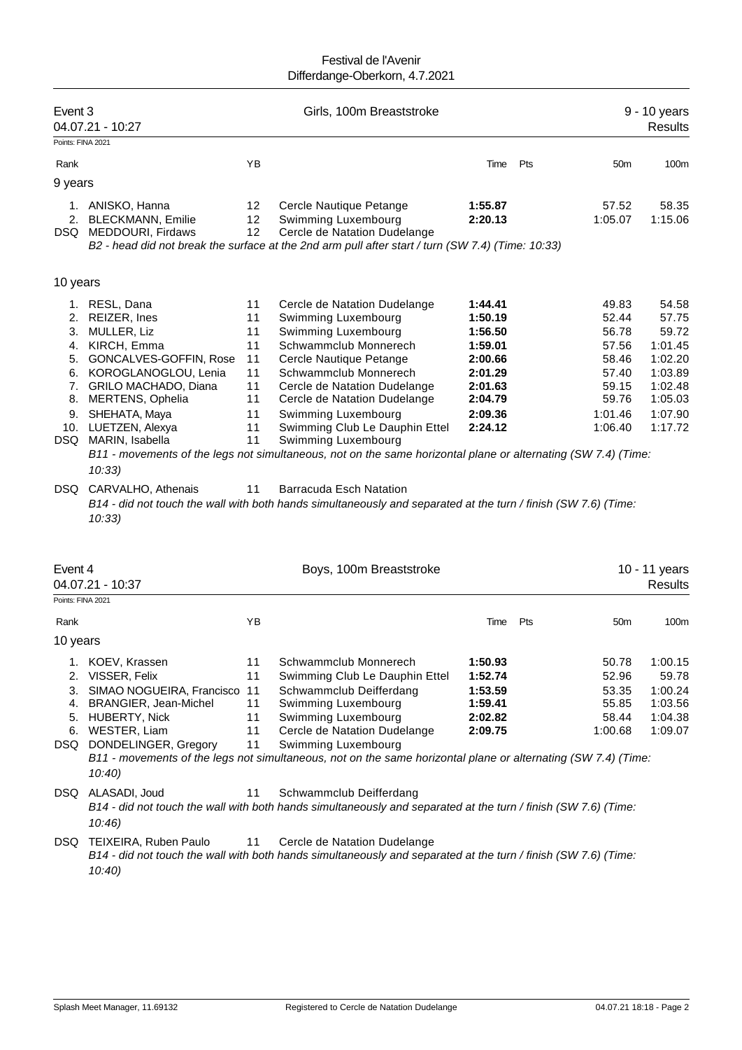| Event 3           | 04.07.21 - 10:27                                  |          | Girls, 100m Breaststroke                                                                                       |                    |     |                    | 9 - 10 years<br><b>Results</b> |
|-------------------|---------------------------------------------------|----------|----------------------------------------------------------------------------------------------------------------|--------------------|-----|--------------------|--------------------------------|
| Points: FINA 2021 |                                                   |          |                                                                                                                |                    |     |                    |                                |
| Rank              |                                                   | YB       |                                                                                                                | Time               | Pts | 50 <sub>m</sub>    | 100m                           |
| 9 years           |                                                   |          |                                                                                                                |                    |     |                    |                                |
|                   |                                                   |          |                                                                                                                |                    |     |                    |                                |
|                   | 1. ANISKO, Hanna                                  | 12       | Cercle Nautique Petange                                                                                        | 1:55.87            |     | 57.52              | 58.35                          |
| 2.                | <b>BLECKMANN, Emilie</b><br>DSQ MEDDOURI, Firdaws | 12<br>12 | Swimming Luxembourg<br>Cercle de Natation Dudelange                                                            | 2:20.13            |     | 1:05.07            | 1:15.06                        |
|                   |                                                   |          | B2 - head did not break the surface at the 2nd arm pull after start / turn (SW 7.4) (Time: 10:33)              |                    |     |                    |                                |
|                   |                                                   |          |                                                                                                                |                    |     |                    |                                |
| 10 years          |                                                   |          |                                                                                                                |                    |     |                    |                                |
|                   |                                                   | 11       |                                                                                                                | 1:44.41            |     | 49.83              | 54.58                          |
|                   | 1. RESL, Dana<br>2. REIZER, Ines                  | 11       | Cercle de Natation Dudelange<br>Swimming Luxembourg                                                            | 1:50.19            |     | 52.44              | 57.75                          |
| 3.                | MULLER, Liz                                       | 11       | Swimming Luxembourg                                                                                            | 1:56.50            |     | 56.78              | 59.72                          |
|                   | 4. KIRCH, Emma                                    | 11       | Schwammclub Monnerech                                                                                          | 1:59.01            |     | 57.56              | 1:01.45                        |
|                   | 5. GONCALVES-GOFFIN, Rose                         | 11       | Cercle Nautique Petange                                                                                        | 2:00.66            |     | 58.46              | 1:02.20                        |
|                   | 6. KOROGLANOGLOU, Lenia                           | 11       | Schwammclub Monnerech                                                                                          | 2:01.29            |     | 57.40              | 1:03.89                        |
|                   | 7. GRILO MACHADO, Diana                           | 11       | Cercle de Natation Dudelange                                                                                   | 2:01.63            |     | 59.15              | 1:02.48                        |
| 8.                | <b>MERTENS, Ophelia</b>                           | 11       | Cercle de Natation Dudelange                                                                                   | 2:04.79            |     | 59.76              | 1:05.03                        |
|                   | 9. SHEHATA, Maya<br>10. LUETZEN, Alexya           | 11<br>11 | Swimming Luxembourg                                                                                            | 2:09.36<br>2:24.12 |     | 1:01.46<br>1:06.40 | 1:07.90<br>1:17.72             |
|                   | DSQ MARIN, Isabella                               | 11       | Swimming Club Le Dauphin Ettel<br>Swimming Luxembourg                                                          |                    |     |                    |                                |
|                   |                                                   |          | B11 - movements of the legs not simultaneous, not on the same horizontal plane or alternating (SW 7.4) (Time:  |                    |     |                    |                                |
|                   | 10:33)                                            |          |                                                                                                                |                    |     |                    |                                |
| DSQ               | CARVALHO, Athenais                                | 11       | <b>Barracuda Esch Natation</b>                                                                                 |                    |     |                    |                                |
|                   |                                                   |          | B14 - did not touch the wall with both hands simultaneously and separated at the turn / finish (SW 7.6) (Time: |                    |     |                    |                                |
|                   | 10:33)                                            |          |                                                                                                                |                    |     |                    |                                |
|                   |                                                   |          |                                                                                                                |                    |     |                    |                                |
|                   |                                                   |          |                                                                                                                |                    |     |                    |                                |
| Event 4           |                                                   |          | Boys, 100m Breaststroke                                                                                        |                    |     |                    | 10 - 11 years                  |
|                   | 04.07.21 - 10:37                                  |          |                                                                                                                |                    |     |                    | <b>Results</b>                 |
| Points: FINA 2021 |                                                   |          |                                                                                                                |                    |     |                    |                                |
| Rank              |                                                   | ΥB       |                                                                                                                | Time               | Pts | 50 <sub>m</sub>    | 100m                           |
| 10 years          |                                                   |          |                                                                                                                |                    |     |                    |                                |
|                   |                                                   |          |                                                                                                                |                    |     |                    |                                |
|                   | 1. KOEV, Krassen                                  | 11       | Schwammclub Monnerech                                                                                          | 1:50.93            |     | 50.78              | 1:00.15                        |
| 2.<br>3.          | VISSER, Felix<br>SIMAO NOGUEIRA, Francisco        | 11<br>11 | Swimming Club Le Dauphin Ettel<br>Schwammclub Deifferdang                                                      | 1:52.74<br>1:53.59 |     | 52.96<br>53.35     | 59.78<br>1:00.24               |
|                   | 4. BRANGIER, Jean-Michel                          | 11       | Swimming Luxembourg                                                                                            | 1:59.41            |     | 55.85              | 1:03.56                        |
|                   | 5. HUBERTY, Nick                                  | 11       | Swimming Luxembourg                                                                                            | 2:02.82            |     | 58.44              | 1:04.38                        |
|                   | 6. WESTER, Liam                                   | 11       | Cercle de Natation Dudelange                                                                                   | 2:09.75            |     | 1:00.68            | 1:09.07                        |
| DSQ               | DONDELINGER, Gregory                              | 11       | Swimming Luxembourg                                                                                            |                    |     |                    |                                |
|                   |                                                   |          | B11 - movements of the legs not simultaneous, not on the same horizontal plane or alternating (SW 7.4) (Time:  |                    |     |                    |                                |
|                   | 10:40                                             |          |                                                                                                                |                    |     |                    |                                |
|                   | DSQ ALASADI, Joud                                 | 11       | Schwammclub Deifferdang                                                                                        |                    |     |                    |                                |
|                   |                                                   |          | B14 - did not touch the wall with both hands simultaneously and separated at the turn / finish (SW 7.6) (Time: |                    |     |                    |                                |
|                   | 10:46                                             |          |                                                                                                                |                    |     |                    |                                |
| DSQ               | TEIXEIRA, Ruben Paulo                             | 11       | Cercle de Natation Dudelange                                                                                   |                    |     |                    |                                |
|                   |                                                   |          | B14 - did not touch the wall with both hands simultaneously and separated at the turn / finish (SW 7.6) (Time: |                    |     |                    |                                |
|                   | 10:40                                             |          |                                                                                                                |                    |     |                    |                                |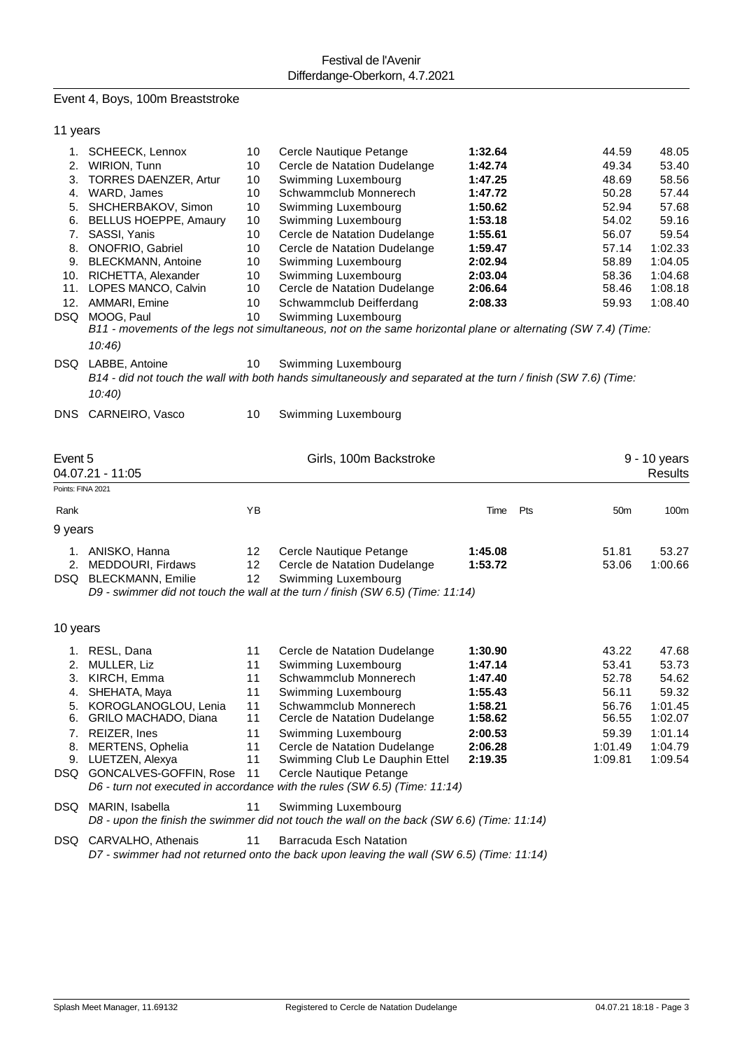# Event 4, Boys, 100m Breaststroke

|                                  | 11 years                                                                                                                                                                                                                                                                                                          |                                                                            |                                                                                                                                                                                                                                                                                                                                                                                                                                                                        |                                                                                                                                  |     |                                                                                                          |                                                                                                                    |
|----------------------------------|-------------------------------------------------------------------------------------------------------------------------------------------------------------------------------------------------------------------------------------------------------------------------------------------------------------------|----------------------------------------------------------------------------|------------------------------------------------------------------------------------------------------------------------------------------------------------------------------------------------------------------------------------------------------------------------------------------------------------------------------------------------------------------------------------------------------------------------------------------------------------------------|----------------------------------------------------------------------------------------------------------------------------------|-----|----------------------------------------------------------------------------------------------------------|--------------------------------------------------------------------------------------------------------------------|
|                                  | 1. SCHEECK, Lennox<br>2. WIRION, Tunn<br>3. TORRES DAENZER, Artur<br>4. WARD, James<br>5. SHCHERBAKOV, Simon<br>6. BELLUS HOEPPE, Amaury<br>7. SASSI, Yanis<br>8. ONOFRIO, Gabriel<br>9. BLECKMANN, Antoine<br>10. RICHETTA, Alexander<br>11. LOPES MANCO, Calvin<br>12. AMMARI, Emine<br>DSQ MOOG, Paul<br>10:46 | 10<br>10<br>10<br>10<br>10<br>10<br>10<br>10<br>10<br>10<br>10<br>10<br>10 | Cercle Nautique Petange<br>Cercle de Natation Dudelange<br>Swimming Luxembourg<br>Schwammclub Monnerech<br>Swimming Luxembourg<br>Swimming Luxembourg<br>Cercle de Natation Dudelange<br>Cercle de Natation Dudelange<br>Swimming Luxembourg<br>Swimming Luxembourg<br>Cercle de Natation Dudelange<br>Schwammclub Deifferdang<br>Swimming Luxembourg<br>B11 - movements of the legs not simultaneous, not on the same horizontal plane or alternating (SW 7.4) (Time: | 1:32.64<br>1:42.74<br>1:47.25<br>1:47.72<br>1:50.62<br>1:53.18<br>1:55.61<br>1:59.47<br>2:02.94<br>2:03.04<br>2:06.64<br>2:08.33 |     | 44.59<br>49.34<br>48.69<br>50.28<br>52.94<br>54.02<br>56.07<br>57.14<br>58.89<br>58.36<br>58.46<br>59.93 | 48.05<br>53.40<br>58.56<br>57.44<br>57.68<br>59.16<br>59.54<br>1:02.33<br>1:04.05<br>1:04.68<br>1:08.18<br>1:08.40 |
|                                  | DSQ LABBE, Antoine<br>10:40                                                                                                                                                                                                                                                                                       | 10                                                                         | Swimming Luxembourg<br>B14 - did not touch the wall with both hands simultaneously and separated at the turn / finish (SW 7.6) (Time:                                                                                                                                                                                                                                                                                                                                  |                                                                                                                                  |     |                                                                                                          |                                                                                                                    |
|                                  | DNS CARNEIRO, Vasco                                                                                                                                                                                                                                                                                               | 10                                                                         | Swimming Luxembourg                                                                                                                                                                                                                                                                                                                                                                                                                                                    |                                                                                                                                  |     |                                                                                                          |                                                                                                                    |
| Event 5<br>Points: FINA 2021     | 04.07.21 - 11:05                                                                                                                                                                                                                                                                                                  |                                                                            | Girls, 100m Backstroke                                                                                                                                                                                                                                                                                                                                                                                                                                                 |                                                                                                                                  |     |                                                                                                          | 9 - 10 years<br><b>Results</b>                                                                                     |
| Rank                             |                                                                                                                                                                                                                                                                                                                   | YB                                                                         |                                                                                                                                                                                                                                                                                                                                                                                                                                                                        | Time                                                                                                                             | Pts | 50 <sub>m</sub>                                                                                          | 100m                                                                                                               |
| 9 years                          |                                                                                                                                                                                                                                                                                                                   |                                                                            |                                                                                                                                                                                                                                                                                                                                                                                                                                                                        |                                                                                                                                  |     |                                                                                                          |                                                                                                                    |
|                                  | 1. ANISKO, Hanna<br>2. MEDDOURI, Firdaws<br>DSQ BLECKMANN, Emilie                                                                                                                                                                                                                                                 | 12<br>12<br>12                                                             | Cercle Nautique Petange<br>Cercle de Natation Dudelange<br>Swimming Luxembourg<br>D9 - swimmer did not touch the wall at the turn / finish (SW 6.5) (Time: 11:14)                                                                                                                                                                                                                                                                                                      | 1:45.08<br>1:53.72                                                                                                               |     | 51.81<br>53.06                                                                                           | 53.27<br>1:00.66                                                                                                   |
| 10 years                         |                                                                                                                                                                                                                                                                                                                   |                                                                            |                                                                                                                                                                                                                                                                                                                                                                                                                                                                        |                                                                                                                                  |     |                                                                                                          |                                                                                                                    |
|                                  | 1. RESL, Dana                                                                                                                                                                                                                                                                                                     | 11                                                                         | Cercle de Natation Dudelange                                                                                                                                                                                                                                                                                                                                                                                                                                           | 1:30.90                                                                                                                          |     | 43.22                                                                                                    | 47.68                                                                                                              |
| 3.<br>4.<br>5.<br>6.<br>7.<br>8. | 2. MULLER, Liz<br>KIRCH, Emma<br>SHEHATA, Maya<br>KOROGLANOGLOU, Lenia<br>GRILO MACHADO, Diana<br>REIZER, Ines<br>MERTENS, Ophelia<br>9. LUETZEN, Alexya<br>DSQ GONCALVES-GOFFIN, Rose                                                                                                                            | 11<br>11<br>11<br>11<br>11<br>11<br>11<br>11<br>11                         | Swimming Luxembourg<br>Schwammclub Monnerech<br>Swimming Luxembourg<br>Schwammclub Monnerech<br>Cercle de Natation Dudelange<br>Swimming Luxembourg<br>Cercle de Natation Dudelange<br>Swimming Club Le Dauphin Ettel<br>Cercle Nautique Petange<br>D6 - turn not executed in accordance with the rules (SW 6.5) (Time: 11:14)                                                                                                                                         | 1:47.14<br>1:47.40<br>1:55.43<br>1:58.21<br>1:58.62<br>2:00.53<br>2:06.28<br>2:19.35                                             |     | 53.41<br>52.78<br>56.11<br>56.76<br>56.55<br>59.39<br>1:01.49<br>1:09.81                                 | 53.73<br>54.62<br>59.32<br>1:01.45<br>1:02.07<br>1:01.14<br>1:04.79<br>1:09.54                                     |
|                                  | DSQ MARIN, Isabella                                                                                                                                                                                                                                                                                               | 11                                                                         | Swimming Luxembourg<br>D8 - upon the finish the swimmer did not touch the wall on the back (SW 6.6) (Time: 11:14)                                                                                                                                                                                                                                                                                                                                                      |                                                                                                                                  |     |                                                                                                          |                                                                                                                    |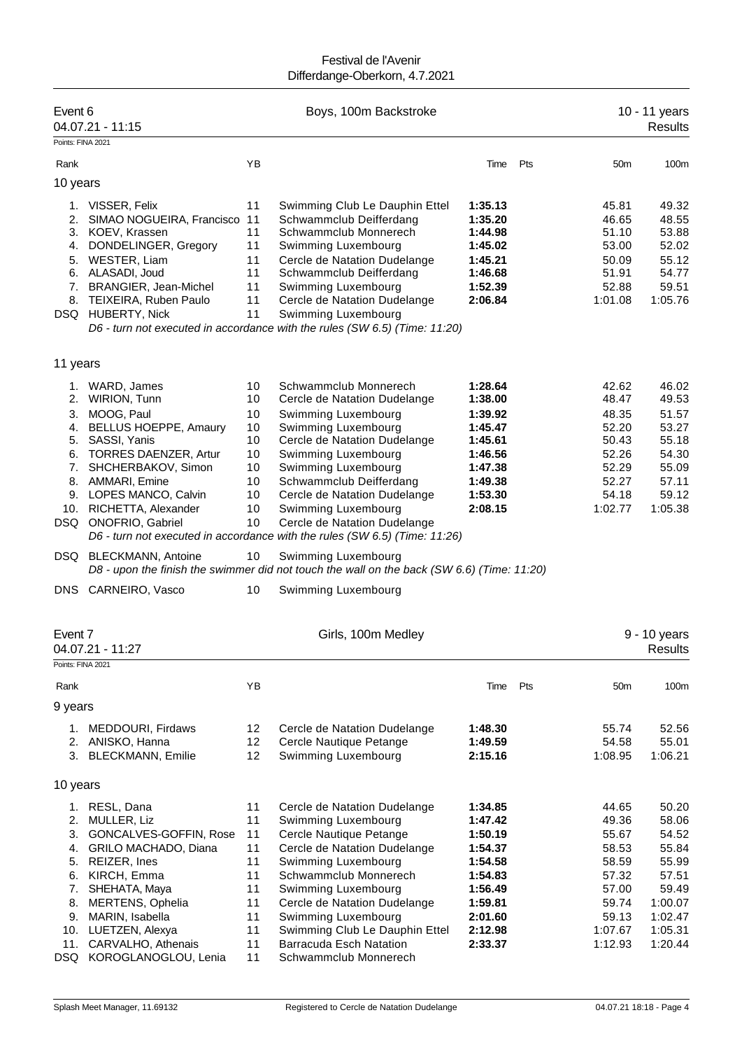| Event 6                                                                 | 04.07.21 - 11:15                                                                                                                                                                                                                                |                                                                      | Boys, 100m Backstroke                                                                                                                                                                                                                                                                                                                                                             |                                                                                                                       |     |                                                                                                     | 10 - 11 years<br><b>Results</b>                                                                         |
|-------------------------------------------------------------------------|-------------------------------------------------------------------------------------------------------------------------------------------------------------------------------------------------------------------------------------------------|----------------------------------------------------------------------|-----------------------------------------------------------------------------------------------------------------------------------------------------------------------------------------------------------------------------------------------------------------------------------------------------------------------------------------------------------------------------------|-----------------------------------------------------------------------------------------------------------------------|-----|-----------------------------------------------------------------------------------------------------|---------------------------------------------------------------------------------------------------------|
| Points: FINA 2021                                                       |                                                                                                                                                                                                                                                 |                                                                      |                                                                                                                                                                                                                                                                                                                                                                                   |                                                                                                                       |     |                                                                                                     |                                                                                                         |
| Rank                                                                    |                                                                                                                                                                                                                                                 | YB                                                                   |                                                                                                                                                                                                                                                                                                                                                                                   | Time                                                                                                                  | Pts | 50 <sub>m</sub>                                                                                     | 100m                                                                                                    |
| 10 years                                                                |                                                                                                                                                                                                                                                 |                                                                      |                                                                                                                                                                                                                                                                                                                                                                                   |                                                                                                                       |     |                                                                                                     |                                                                                                         |
| 1.<br>2.<br>3.<br>4.<br>5.<br>7.<br>8.                                  | VISSER, Felix<br>SIMAO NOGUEIRA, Francisco<br>KOEV, Krassen<br>DONDELINGER, Gregory<br>WESTER, Liam<br>6. ALASADI, Joud<br>BRANGIER, Jean-Michel<br>TEIXEIRA, Ruben Paulo<br>DSQ HUBERTY, Nick                                                  | 11<br>11<br>11<br>11<br>11<br>11<br>11<br>11<br>11                   | Swimming Club Le Dauphin Ettel<br>Schwammclub Deifferdang<br>Schwammclub Monnerech<br>Swimming Luxembourg<br>Cercle de Natation Dudelange<br>Schwammclub Deifferdang<br>Swimming Luxembourg<br>Cercle de Natation Dudelange<br>Swimming Luxembourg<br>D6 - turn not executed in accordance with the rules (SW 6.5) (Time: 11:20)                                                  | 1:35.13<br>1:35.20<br>1:44.98<br>1:45.02<br>1:45.21<br>1:46.68<br>1:52.39<br>2:06.84                                  |     | 45.81<br>46.65<br>51.10<br>53.00<br>50.09<br>51.91<br>52.88<br>1:01.08                              | 49.32<br>48.55<br>53.88<br>52.02<br>55.12<br>54.77<br>59.51<br>1:05.76                                  |
| 11 years                                                                |                                                                                                                                                                                                                                                 |                                                                      |                                                                                                                                                                                                                                                                                                                                                                                   |                                                                                                                       |     |                                                                                                     |                                                                                                         |
| 2.<br>3.<br>4.<br>5.<br>6.<br>7.<br>DSQ                                 | 1. WARD, James<br>WIRION, Tunn<br>MOOG, Paul<br><b>BELLUS HOEPPE, Amaury</b><br>SASSI, Yanis<br><b>TORRES DAENZER, Artur</b><br>SHCHERBAKOV, Simon<br>8. AMMARI, Emine<br>9. LOPES MANCO, Calvin<br>10. RICHETTA, Alexander<br>ONOFRIO, Gabriel | 10<br>10<br>10<br>10<br>10<br>10<br>10<br>10<br>10<br>10<br>10       | Schwammclub Monnerech<br>Cercle de Natation Dudelange<br>Swimming Luxembourg<br>Swimming Luxembourg<br>Cercle de Natation Dudelange<br>Swimming Luxembourg<br>Swimming Luxembourg<br>Schwammclub Deifferdang<br>Cercle de Natation Dudelange<br>Swimming Luxembourg<br>Cercle de Natation Dudelange<br>D6 - turn not executed in accordance with the rules (SW 6.5) (Time: 11:26) | 1:28.64<br>1:38.00<br>1:39.92<br>1:45.47<br>1:45.61<br>1:46.56<br>1:47.38<br>1:49.38<br>1:53.30<br>2:08.15            |     | 42.62<br>48.47<br>48.35<br>52.20<br>50.43<br>52.26<br>52.29<br>52.27<br>54.18<br>1:02.77            | 46.02<br>49.53<br>51.57<br>53.27<br>55.18<br>54.30<br>55.09<br>57.11<br>59.12<br>1:05.38                |
|                                                                         | DSQ BLECKMANN, Antoine                                                                                                                                                                                                                          | 10                                                                   | Swimming Luxembourg<br>D8 - upon the finish the swimmer did not touch the wall on the back (SW 6.6) (Time: 11:20)                                                                                                                                                                                                                                                                 |                                                                                                                       |     |                                                                                                     |                                                                                                         |
| DNS                                                                     | CARNEIRO, Vasco                                                                                                                                                                                                                                 | 10                                                                   | Swimming Luxembourg                                                                                                                                                                                                                                                                                                                                                               |                                                                                                                       |     |                                                                                                     |                                                                                                         |
| Event 7<br>Points: FINA 2021                                            | 04.07.21 - 11:27                                                                                                                                                                                                                                |                                                                      | Girls, 100m Medley                                                                                                                                                                                                                                                                                                                                                                |                                                                                                                       |     |                                                                                                     | 9 - 10 years<br><b>Results</b>                                                                          |
| Rank                                                                    |                                                                                                                                                                                                                                                 | YB                                                                   |                                                                                                                                                                                                                                                                                                                                                                                   | Time                                                                                                                  | Pts | 50 <sub>m</sub>                                                                                     | 100m                                                                                                    |
| 9 years                                                                 |                                                                                                                                                                                                                                                 |                                                                      |                                                                                                                                                                                                                                                                                                                                                                                   |                                                                                                                       |     |                                                                                                     |                                                                                                         |
| 1.<br>2.<br>3.                                                          | MEDDOURI, Firdaws<br>ANISKO, Hanna<br><b>BLECKMANN, Emilie</b>                                                                                                                                                                                  | 12<br>12<br>12                                                       | Cercle de Natation Dudelange<br>Cercle Nautique Petange<br>Swimming Luxembourg                                                                                                                                                                                                                                                                                                    | 1:48.30<br>1:49.59<br>2:15.16                                                                                         |     | 55.74<br>54.58<br>1:08.95                                                                           | 52.56<br>55.01<br>1:06.21                                                                               |
| 10 years                                                                |                                                                                                                                                                                                                                                 |                                                                      |                                                                                                                                                                                                                                                                                                                                                                                   |                                                                                                                       |     |                                                                                                     |                                                                                                         |
| 1.<br>2.<br>3.<br>4.<br>5.<br>6.<br>7.<br>8.<br>9.<br>10.<br>11.<br>DSQ | RESL, Dana<br>MULLER, Liz<br>GONCALVES-GOFFIN, Rose<br>GRILO MACHADO, Diana<br>REIZER, Ines<br>KIRCH, Emma<br>SHEHATA, Maya<br>MERTENS, Ophelia<br>MARIN, Isabella<br>LUETZEN, Alexya<br>CARVALHO, Athenais<br>KOROGLANOGLOU, Lenia             | 11<br>11<br>11<br>11<br>11<br>11<br>11<br>11<br>11<br>11<br>11<br>11 | Cercle de Natation Dudelange<br>Swimming Luxembourg<br>Cercle Nautique Petange<br>Cercle de Natation Dudelange<br>Swimming Luxembourg<br>Schwammclub Monnerech<br>Swimming Luxembourg<br>Cercle de Natation Dudelange<br>Swimming Luxembourg<br>Swimming Club Le Dauphin Ettel<br>Barracuda Esch Natation<br>Schwammclub Monnerech                                                | 1:34.85<br>1:47.42<br>1:50.19<br>1:54.37<br>1:54.58<br>1:54.83<br>1:56.49<br>1:59.81<br>2:01.60<br>2:12.98<br>2:33.37 |     | 44.65<br>49.36<br>55.67<br>58.53<br>58.59<br>57.32<br>57.00<br>59.74<br>59.13<br>1:07.67<br>1:12.93 | 50.20<br>58.06<br>54.52<br>55.84<br>55.99<br>57.51<br>59.49<br>1:00.07<br>1:02.47<br>1:05.31<br>1:20.44 |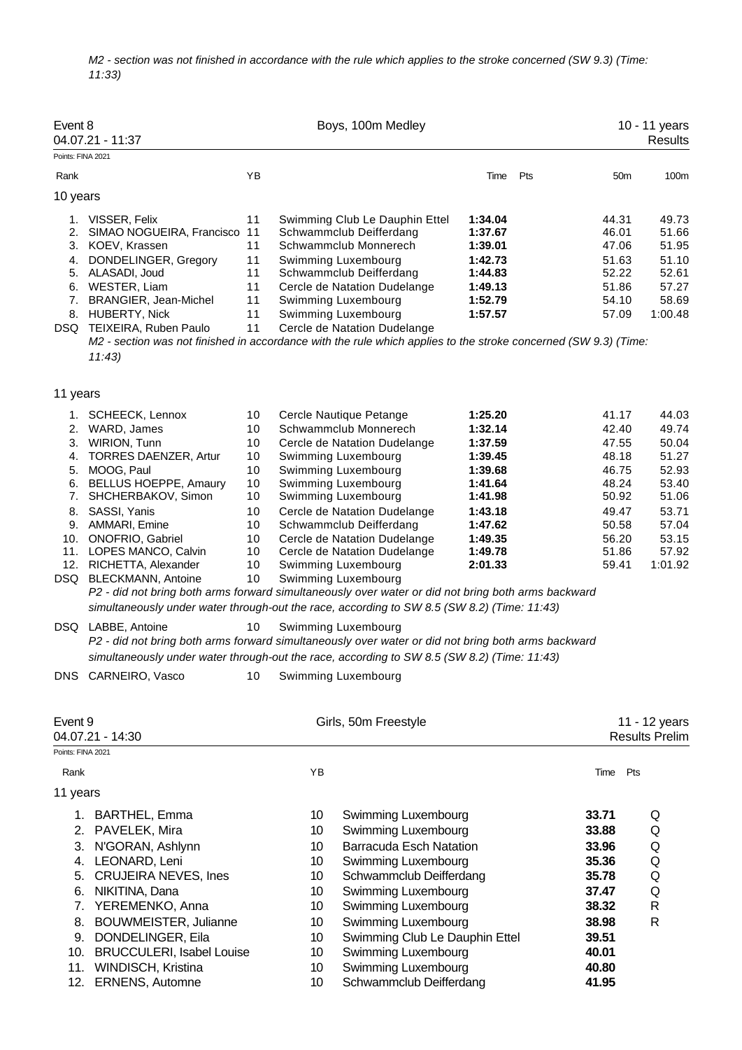*M2 - section was not finished in accordance with the rule which applies to the stroke concerned (SW 9.3) (Time: 11:33)*

| Event 8                                       | 04.07.21 - 11:37                                                                                                                                                                                                                                                                                                                                                                                                                                                                                                                                                                                                                                                                                                                                     |                                                                                        |                                        | Boys, 100m Medley                                                                                                                                                                                                                                                                                                                                                                                   |                                                                                                                                  |                                                             |                                                                                                          | 10 - 11 years<br><b>Results</b>                                                                            |
|-----------------------------------------------|------------------------------------------------------------------------------------------------------------------------------------------------------------------------------------------------------------------------------------------------------------------------------------------------------------------------------------------------------------------------------------------------------------------------------------------------------------------------------------------------------------------------------------------------------------------------------------------------------------------------------------------------------------------------------------------------------------------------------------------------------|----------------------------------------------------------------------------------------|----------------------------------------|-----------------------------------------------------------------------------------------------------------------------------------------------------------------------------------------------------------------------------------------------------------------------------------------------------------------------------------------------------------------------------------------------------|----------------------------------------------------------------------------------------------------------------------------------|-------------------------------------------------------------|----------------------------------------------------------------------------------------------------------|------------------------------------------------------------------------------------------------------------|
| Points: FINA 2021<br>Rank                     |                                                                                                                                                                                                                                                                                                                                                                                                                                                                                                                                                                                                                                                                                                                                                      | YB                                                                                     |                                        |                                                                                                                                                                                                                                                                                                                                                                                                     | Time                                                                                                                             | Pts                                                         | 50 <sub>m</sub>                                                                                          | 100m                                                                                                       |
|                                               |                                                                                                                                                                                                                                                                                                                                                                                                                                                                                                                                                                                                                                                                                                                                                      |                                                                                        |                                        |                                                                                                                                                                                                                                                                                                                                                                                                     |                                                                                                                                  |                                                             |                                                                                                          |                                                                                                            |
| 10 years<br>3.<br>4.                          | 1. VISSER, Felix<br>2. SIMAO NOGUEIRA, Francisco<br>KOEV, Krassen<br>DONDELINGER, Gregory<br>5. ALASADI, Joud<br>6. WESTER, Liam<br>7. BRANGIER, Jean-Michel<br>8. HUBERTY, Nick<br>DSQ TEIXEIRA, Ruben Paulo<br>M2 - section was not finished in accordance with the rule which applies to the stroke concerned (SW 9.3) (Time:<br>11:43                                                                                                                                                                                                                                                                                                                                                                                                            | 11<br>11<br>11<br>11<br>11<br>11<br>11<br>11<br>11                                     |                                        | Swimming Club Le Dauphin Ettel<br>Schwammclub Deifferdang<br>Schwammclub Monnerech<br>Swimming Luxembourg<br>Schwammclub Deifferdang<br>Cercle de Natation Dudelange<br>Swimming Luxembourg<br>Swimming Luxembourg<br>Cercle de Natation Dudelange                                                                                                                                                  | 1:34.04<br>1:37.67<br>1:39.01<br>1:42.73<br>1:44.83<br>1:49.13<br>1:52.79<br>1:57.57                                             |                                                             | 44.31<br>46.01<br>47.06<br>51.63<br>52.22<br>51.86<br>54.10<br>57.09                                     | 49.73<br>51.66<br>51.95<br>51.10<br>52.61<br>57.27<br>58.69<br>1:00.48                                     |
| 11 years                                      |                                                                                                                                                                                                                                                                                                                                                                                                                                                                                                                                                                                                                                                                                                                                                      |                                                                                        |                                        |                                                                                                                                                                                                                                                                                                                                                                                                     |                                                                                                                                  |                                                             |                                                                                                          |                                                                                                            |
| 2.<br>3.<br>4.<br>5.<br>6.<br>7.<br>8.<br>10. | 1. SCHEECK, Lennox<br>WARD, James<br>WIRION, Tunn<br><b>TORRES DAENZER, Artur</b><br>MOOG, Paul<br><b>BELLUS HOEPPE, Amaury</b><br>SHCHERBAKOV, Simon<br>SASSI, Yanis<br>9. AMMARI, Emine<br>ONOFRIO, Gabriel<br>11. LOPES MANCO, Calvin<br>12. RICHETTA, Alexander<br>DSQ BLECKMANN, Antoine<br>P2 - did not bring both arms forward simultaneously over water or did not bring both arms backward<br>simultaneously under water through-out the race, according to SW 8.5 (SW 8.2) (Time: 11:43)<br>DSQ LABBE, Antoine<br>P2 - did not bring both arms forward simultaneously over water or did not bring both arms backward<br>simultaneously under water through-out the race, according to SW 8.5 (SW 8.2) (Time: 11:43)<br>DNS CARNEIRO, Vasco | 10<br>10<br>10<br>10<br>10<br>10<br>10<br>10<br>10<br>10<br>10<br>10<br>10<br>10<br>10 |                                        | Cercle Nautique Petange<br>Schwammclub Monnerech<br>Cercle de Natation Dudelange<br>Swimming Luxembourg<br>Swimming Luxembourg<br>Swimming Luxembourg<br>Swimming Luxembourg<br>Cercle de Natation Dudelange<br>Schwammclub Deifferdang<br>Cercle de Natation Dudelange<br>Cercle de Natation Dudelange<br>Swimming Luxembourg<br>Swimming Luxembourg<br>Swimming Luxembourg<br>Swimming Luxembourg | 1:25.20<br>1:32.14<br>1:37.59<br>1:39.45<br>1:39.68<br>1:41.64<br>1:41.98<br>1:43.18<br>1:47.62<br>1:49.35<br>1:49.78<br>2:01.33 |                                                             | 41.17<br>42.40<br>47.55<br>48.18<br>46.75<br>48.24<br>50.92<br>49.47<br>50.58<br>56.20<br>51.86<br>59.41 | 44.03<br>49.74<br>50.04<br>51.27<br>52.93<br>53.40<br>51.06<br>53.71<br>57.04<br>53.15<br>57.92<br>1:01.92 |
| Event 9                                       |                                                                                                                                                                                                                                                                                                                                                                                                                                                                                                                                                                                                                                                                                                                                                      |                                                                                        |                                        | Girls, 50m Freestyle                                                                                                                                                                                                                                                                                                                                                                                |                                                                                                                                  |                                                             |                                                                                                          | 11 - 12 years                                                                                              |
| Points: FINA 2021                             | 04.07.21 - 14:30                                                                                                                                                                                                                                                                                                                                                                                                                                                                                                                                                                                                                                                                                                                                     |                                                                                        |                                        |                                                                                                                                                                                                                                                                                                                                                                                                     |                                                                                                                                  |                                                             |                                                                                                          | <b>Results Prelim</b>                                                                                      |
| Rank                                          |                                                                                                                                                                                                                                                                                                                                                                                                                                                                                                                                                                                                                                                                                                                                                      |                                                                                        | YB                                     |                                                                                                                                                                                                                                                                                                                                                                                                     |                                                                                                                                  |                                                             | Time Pts                                                                                                 |                                                                                                            |
| 11 years                                      |                                                                                                                                                                                                                                                                                                                                                                                                                                                                                                                                                                                                                                                                                                                                                      |                                                                                        |                                        |                                                                                                                                                                                                                                                                                                                                                                                                     |                                                                                                                                  |                                                             |                                                                                                          |                                                                                                            |
| 1.<br>2.<br>3.<br>4.<br>5.<br>6.<br>7.        | <b>BARTHEL, Emma</b><br>PAVELEK, Mira<br>N'GORAN, Ashlynn<br>LEONARD, Leni<br><b>CRUJEIRA NEVES, Ines</b><br>NIKITINA, Dana<br>YEREMENKO, Anna                                                                                                                                                                                                                                                                                                                                                                                                                                                                                                                                                                                                       |                                                                                        | 10<br>10<br>10<br>10<br>10<br>10<br>10 | Swimming Luxembourg<br>Swimming Luxembourg<br><b>Barracuda Esch Natation</b><br>Swimming Luxembourg<br>Schwammclub Deifferdang<br>Swimming Luxembourg<br>Swimming Luxembourg                                                                                                                                                                                                                        |                                                                                                                                  | 33.71<br>33.88<br>33.96<br>35.36<br>35.78<br>37.47<br>38.32 |                                                                                                          | Q<br>Q<br>Q<br>Q<br>Q<br>Q<br>R                                                                            |
| 8.<br>9.                                      | BOUWMEISTER, Julianne<br>DONDELINGER, Eila<br>10. BRUCCULERI, Isabel Louise<br>11. WINDISCH, Kristina<br>12. ERNENS, Automne                                                                                                                                                                                                                                                                                                                                                                                                                                                                                                                                                                                                                         |                                                                                        | 10<br>10<br>10<br>10<br>10             | Swimming Luxembourg<br>Swimming Club Le Dauphin Ettel<br>Swimming Luxembourg<br>Swimming Luxembourg<br>Schwammclub Deifferdang                                                                                                                                                                                                                                                                      |                                                                                                                                  | 38.98<br>39.51<br>40.01<br>40.80<br>41.95                   |                                                                                                          | $\mathsf{R}$                                                                                               |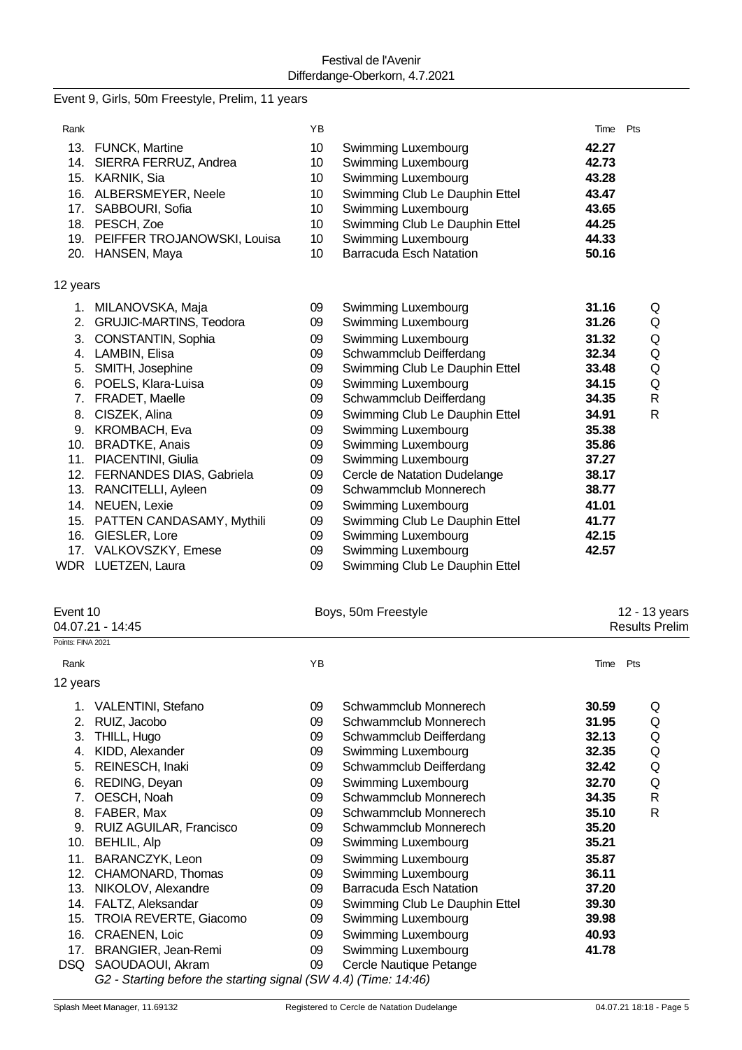## Event 9, Girls, 50m Freestyle, Prelim, 11 years

| Rank     |                                 | YB |                                | Time  | Pts          |
|----------|---------------------------------|----|--------------------------------|-------|--------------|
| 13.      | <b>FUNCK, Martine</b>           | 10 | Swimming Luxembourg            | 42.27 |              |
|          | 14. SIERRA FERRUZ, Andrea       | 10 | Swimming Luxembourg            | 42.73 |              |
|          | 15. KARNIK, Sia                 | 10 | Swimming Luxembourg            | 43.28 |              |
|          | 16. ALBERSMEYER, Neele          | 10 | Swimming Club Le Dauphin Ettel | 43.47 |              |
| 17.      | SABBOURI, Sofia                 | 10 | Swimming Luxembourg            | 43.65 |              |
|          | 18. PESCH, Zoe                  | 10 | Swimming Club Le Dauphin Ettel | 44.25 |              |
|          | 19. PEIFFER TROJANOWSKI, Louisa | 10 | Swimming Luxembourg            | 44.33 |              |
|          | 20. HANSEN, Maya                | 10 | <b>Barracuda Esch Natation</b> | 50.16 |              |
| 12 years |                                 |    |                                |       |              |
|          | 1. MILANOVSKA, Maja             | 09 | Swimming Luxembourg            | 31.16 | Q            |
| 2.       | <b>GRUJIC-MARTINS, Teodora</b>  | 09 | Swimming Luxembourg            | 31.26 | Q            |
| 3.       | CONSTANTIN, Sophia              | 09 | Swimming Luxembourg            | 31.32 | Q            |
| 4.       | LAMBIN, Elisa                   | 09 | Schwammclub Deifferdang        | 32.34 | Q            |
| 5.       | SMITH, Josephine                | 09 | Swimming Club Le Dauphin Ettel | 33.48 | Q            |
| 6.       | POELS, Klara-Luisa              | 09 | Swimming Luxembourg            | 34.15 | Q            |
| 7.       | FRADET, Maelle                  | 09 | Schwammclub Deifferdang        | 34.35 | $\mathsf{R}$ |
| 8.       | CISZEK, Alina                   | 09 | Swimming Club Le Dauphin Ettel | 34.91 | $\mathsf{R}$ |
| 9.       | KROMBACH, Eva                   | 09 | Swimming Luxembourg            | 35.38 |              |
| 10.      | <b>BRADTKE, Anais</b>           | 09 | Swimming Luxembourg            | 35.86 |              |
|          | 11. PIACENTINI, Giulia          | 09 | Swimming Luxembourg            | 37.27 |              |
| 12.      | FERNANDES DIAS, Gabriela        | 09 | Cercle de Natation Dudelange   | 38.17 |              |
|          | 13. RANCITELLI, Ayleen          | 09 | Schwammclub Monnerech          | 38.77 |              |
| 14.      | NEUEN, Lexie                    | 09 | Swimming Luxembourg            | 41.01 |              |
|          | 15. PATTEN CANDASAMY, Mythili   | 09 | Swimming Club Le Dauphin Ettel | 41.77 |              |
| 16.      | GIESLER, Lore                   | 09 | Swimming Luxembourg            | 42.15 |              |
|          | 17. VALKOVSZKY, Emese           | 09 | Swimming Luxembourg            | 42.57 |              |
|          | WDR LUETZEN, Laura              | 09 | Swimming Club Le Dauphin Ettel |       |              |

|                   | Event 10<br>04.07.21 - 14:45  |    | Boys, 50m Freestyle            | 12 - 13 years<br><b>Results Prelim</b> |     |  |  |  |
|-------------------|-------------------------------|----|--------------------------------|----------------------------------------|-----|--|--|--|
| Points: FINA 2021 |                               |    |                                |                                        |     |  |  |  |
| Rank              |                               | YB |                                | Time                                   | Pts |  |  |  |
| 12 years          |                               |    |                                |                                        |     |  |  |  |
|                   | 1. VALENTINI, Stefano         | 09 | Schwammclub Monnerech          | 30.59                                  | Q   |  |  |  |
| 2.                | RUIZ, Jacobo                  | 09 | Schwammclub Monnerech          | 31.95                                  | Q   |  |  |  |
| 3.                | THILL, Hugo                   | 09 | Schwammclub Deifferdang        | 32.13                                  | Q   |  |  |  |
| 4.                | KIDD, Alexander               | 09 | Swimming Luxembourg            | 32.35                                  | Q   |  |  |  |
| 5.                | REINESCH, Inaki               | 09 | Schwammclub Deifferdang        | 32.42                                  | Q   |  |  |  |
| 6.                | REDING, Deyan                 | 09 | Swimming Luxembourg            | 32.70                                  | Q   |  |  |  |
| 7.                | OESCH, Noah                   | 09 | Schwammclub Monnerech          | 34.35                                  | R   |  |  |  |
| 8.                | FABER, Max                    | 09 | Schwammclub Monnerech          | 35.10                                  | R   |  |  |  |
| 9.                | RUIZ AGUILAR, Francisco       | 09 | Schwammclub Monnerech          | 35.20                                  |     |  |  |  |
| 10.               | <b>BEHLIL, Alp</b>            | 09 | Swimming Luxembourg            | 35.21                                  |     |  |  |  |
| 11.               | BARANCZYK, Leon               | 09 | Swimming Luxembourg            | 35.87                                  |     |  |  |  |
| 12.               | CHAMONARD, Thomas             | 09 | Swimming Luxembourg            | 36.11                                  |     |  |  |  |
| 13.               | NIKOLOV, Alexandre            | 09 | <b>Barracuda Esch Natation</b> | 37.20                                  |     |  |  |  |
| 14.               | FALTZ, Aleksandar             | 09 | Swimming Club Le Dauphin Ettel | 39.30                                  |     |  |  |  |
| 15.               | <b>TROIA REVERTE, Giacomo</b> | 09 | Swimming Luxembourg            | 39.98                                  |     |  |  |  |
| 16.               | CRAENEN, Loic                 | 09 | Swimming Luxembourg            | 40.93                                  |     |  |  |  |
| 17.               | BRANGIER, Jean-Remi           | 09 | Swimming Luxembourg            | 41.78                                  |     |  |  |  |
| DSQ               | SAOUDAOUI, Akram              | 09 | Cercle Nautique Petange        |                                        |     |  |  |  |

*G2 - Starting before the starting signal (SW 4.4) (Time: 14:46)*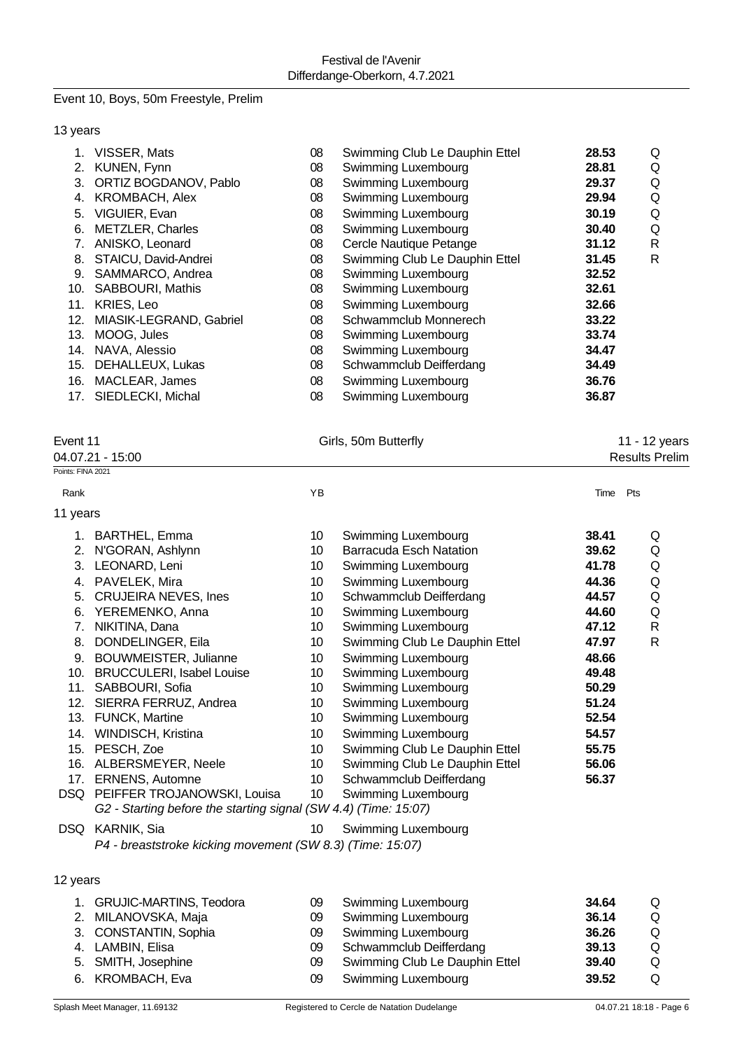# Event 10, Boys, 50m Freestyle, Prelim

### 13 years

|     | VISSER, Mats            | 08 | Swimming Club Le Dauphin Ettel | 28.53 | Q            |
|-----|-------------------------|----|--------------------------------|-------|--------------|
| 2.  | KUNEN, Fynn             | 08 | Swimming Luxembourg            | 28.81 | Q            |
| 3.  | ORTIZ BOGDANOV, Pablo   | 08 | Swimming Luxembourg            | 29.37 | Q            |
| 4.  | <b>KROMBACH, Alex</b>   | 08 | Swimming Luxembourg            | 29.94 | Q            |
| 5.  | VIGUIER, Evan           | 08 | Swimming Luxembourg            | 30.19 | Q            |
| 6.  | <b>METZLER, Charles</b> | 08 | Swimming Luxembourg            | 30.40 | Q            |
|     | ANISKO, Leonard         | 08 | Cercle Nautique Petange        | 31.12 | $\mathsf{R}$ |
| 8.  | STAICU, David-Andrei    | 08 | Swimming Club Le Dauphin Ettel | 31.45 | R            |
| 9.  | SAMMARCO, Andrea        | 08 | Swimming Luxembourg            | 32.52 |              |
| 10. | <b>SABBOURI, Mathis</b> | 08 | Swimming Luxembourg            | 32.61 |              |
| 11. | <b>KRIES, Leo</b>       | 08 | Swimming Luxembourg            | 32.66 |              |
| 12. | MIASIK-LEGRAND, Gabriel | 08 | Schwammclub Monnerech          | 33.22 |              |
| 13. | MOOG, Jules             | 08 | Swimming Luxembourg            | 33.74 |              |
| 14. | NAVA, Alessio           | 08 | Swimming Luxembourg            | 34.47 |              |
| 15. | DEHALLEUX, Lukas        | 08 | Schwammclub Deifferdang        | 34.49 |              |
| 16. | MACLEAR, James          | 08 | Swimming Luxembourg            | 36.76 |              |
| 17. | SIEDLECKI, Michal       | 08 | Swimming Luxembourg            | 36.87 |              |
|     |                         |    |                                |       |              |

| Event 11          | Girls, 50m Butterfly | 11 - 12 years         |
|-------------------|----------------------|-----------------------|
| 04.07.21 - 15:00  |                      | <b>Results Prelim</b> |
| Points: FINA 2021 |                      |                       |

| Rank     |                                                                 | YB              |                                | Time  | Pts          |
|----------|-----------------------------------------------------------------|-----------------|--------------------------------|-------|--------------|
| 11 years |                                                                 |                 |                                |       |              |
| 1.       | <b>BARTHEL, Emma</b>                                            | 10              | Swimming Luxembourg            | 38.41 | Q            |
| 2.       | N'GORAN, Ashlynn                                                | 10              | <b>Barracuda Esch Natation</b> | 39.62 | Q            |
| 3.       | LEONARD, Leni                                                   | 10              | Swimming Luxembourg            | 41.78 | Q            |
| 4.       | PAVELEK, Mira                                                   | 10              | Swimming Luxembourg            | 44.36 | Q            |
| 5.       | CRUJEIRA NEVES, Ines                                            | 10              | Schwammclub Deifferdang        | 44.57 | Q            |
| 6.       | YEREMENKO, Anna                                                 | 10              | Swimming Luxembourg            | 44.60 | Q            |
| 7.       | NIKITINA, Dana                                                  | 10              | Swimming Luxembourg            | 47.12 | $\mathsf{R}$ |
| 8.       | DONDELINGER, Eila                                               | 10              | Swimming Club Le Dauphin Ettel | 47.97 | $\mathsf{R}$ |
| 9.       | BOUWMEISTER, Julianne                                           | 10              | Swimming Luxembourg            | 48.66 |              |
|          | 10. BRUCCULERI, Isabel Louise                                   | 10              | Swimming Luxembourg            | 49.48 |              |
| 11.      | SABBOURI, Sofia                                                 | 10              | Swimming Luxembourg            | 50.29 |              |
| 12.      | SIERRA FERRUZ, Andrea                                           | 10              | Swimming Luxembourg            | 51.24 |              |
| 13.      | <b>FUNCK, Martine</b>                                           | 10              | Swimming Luxembourg            | 52.54 |              |
| 14.      | WINDISCH, Kristina                                              | 10              | Swimming Luxembourg            | 54.57 |              |
| 15.      | PESCH, Zoe                                                      | 10              | Swimming Club Le Dauphin Ettel | 55.75 |              |
| 16.      | ALBERSMEYER, Neele                                              | 10 <sup>°</sup> | Swimming Club Le Dauphin Ettel | 56.06 |              |
| 17.      | <b>ERNENS, Automne</b>                                          | 10 <sup>°</sup> | Schwammclub Deifferdang        | 56.37 |              |
| DSQ.     | PEIFFER TROJANOWSKI, Louisa                                     | 10              | Swimming Luxembourg            |       |              |
|          | G2 - Starting before the starting signal (SW 4.4) (Time: 15:07) |                 |                                |       |              |
|          | DSQ KARNIK, Sia                                                 | 10              | Swimming Luxembourg            |       |              |
|          | P4 - breaststroke kicking movement (SW 8.3) (Time: 15:07)       |                 |                                |       |              |
|          |                                                                 |                 |                                |       |              |
|          |                                                                 |                 |                                |       |              |

## 12 years

| 1. GRUJIC-MARTINS, Teodora | 09 | Swimming Luxembourg            | 34.64 | Q |
|----------------------------|----|--------------------------------|-------|---|
| 2. MILANOVSKA, Maja        | 09 | Swimming Luxembourg            | 36.14 | Q |
| 3. CONSTANTIN, Sophia      | 09 | Swimming Luxembourg            | 36.26 | Q |
| 4. LAMBIN, Elisa           | 09 | Schwammclub Deifferdang        | 39.13 | Q |
| 5. SMITH, Josephine        | 09 | Swimming Club Le Dauphin Ettel | 39.40 | Q |
| 6. KROMBACH, Eva           | 09 | Swimming Luxembourg            | 39.52 | Q |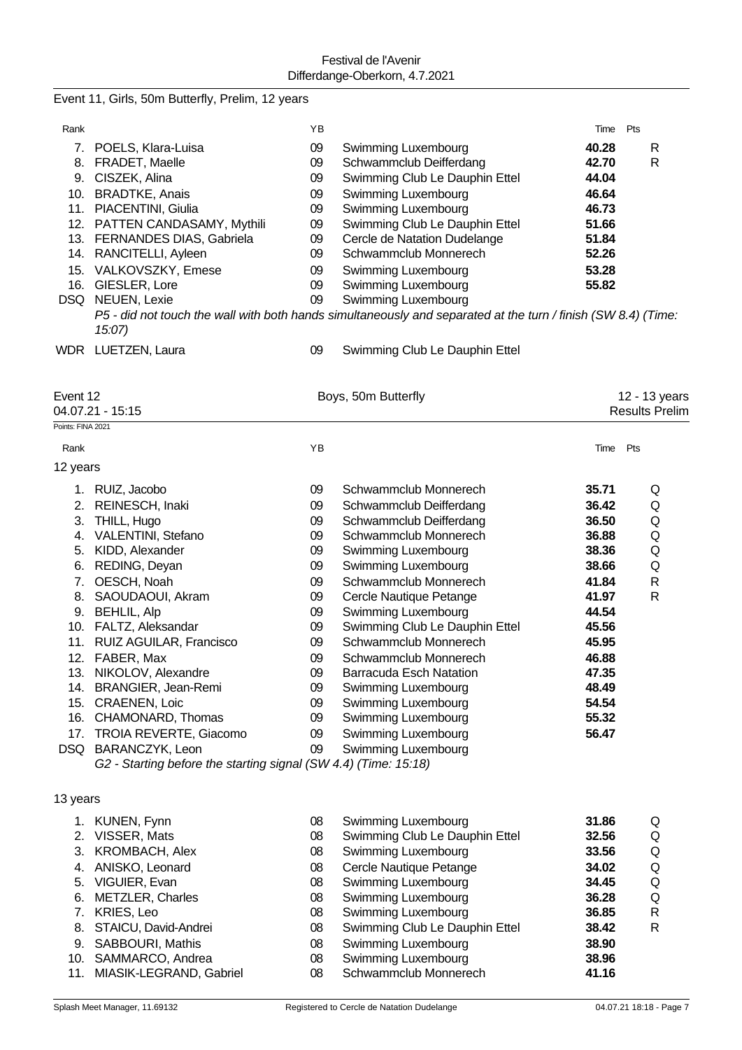| Event 11, Girls, 50m Butterfly, Prelim, 12 years |  |  |  |  |  |  |
|--------------------------------------------------|--|--|--|--|--|--|
|--------------------------------------------------|--|--|--|--|--|--|

| Rank              |                                                                 | ΥB       |                                                                                                               | Time Pts       |                       |
|-------------------|-----------------------------------------------------------------|----------|---------------------------------------------------------------------------------------------------------------|----------------|-----------------------|
|                   | 7. POELS, Klara-Luisa                                           | 09       | Swimming Luxembourg                                                                                           | 40.28          | R                     |
|                   | 8. FRADET, Maelle                                               | 09       | Schwammclub Deifferdang                                                                                       | 42.70          | R                     |
|                   | 9. CISZEK, Alina                                                | 09       | Swimming Club Le Dauphin Ettel                                                                                | 44.04          |                       |
|                   | 10. BRADTKE, Anais                                              | 09       | Swimming Luxembourg                                                                                           | 46.64          |                       |
|                   | 11. PIACENTINI, Giulia                                          | 09       | Swimming Luxembourg                                                                                           | 46.73          |                       |
|                   | 12. PATTEN CANDASAMY, Mythili                                   | 09       | Swimming Club Le Dauphin Ettel                                                                                | 51.66          |                       |
|                   | 13. FERNANDES DIAS, Gabriela                                    | 09       | Cercle de Natation Dudelange                                                                                  | 51.84          |                       |
|                   | 14. RANCITELLI, Ayleen                                          | 09       | Schwammclub Monnerech                                                                                         | 52.26          |                       |
|                   | 15. VALKOVSZKY, Emese                                           | 09       | Swimming Luxembourg                                                                                           | 53.28          |                       |
|                   | 16. GIESLER, Lore                                               | 09       | Swimming Luxembourg                                                                                           | 55.82          |                       |
|                   | DSQ NEUEN, Lexie                                                | 09       | Swimming Luxembourg                                                                                           |                |                       |
|                   | 15:07                                                           |          | P5 - did not touch the wall with both hands simultaneously and separated at the turn / finish (SW 8.4) (Time: |                |                       |
|                   | WDR LUETZEN, Laura                                              | 09       | Swimming Club Le Dauphin Ettel                                                                                |                |                       |
| Event 12          |                                                                 |          | Boys, 50m Butterfly                                                                                           |                | 12 - 13 years         |
|                   | 04.07.21 - 15:15                                                |          |                                                                                                               |                | <b>Results Prelim</b> |
| Points: FINA 2021 |                                                                 |          |                                                                                                               |                |                       |
| Rank              |                                                                 | YB       |                                                                                                               | Time Pts       |                       |
| 12 years          |                                                                 |          |                                                                                                               |                |                       |
|                   | 1. RUIZ, Jacobo                                                 | 09       | Schwammclub Monnerech                                                                                         | 35.71          | Q                     |
|                   | 2. REINESCH, Inaki                                              | 09       | Schwammclub Deifferdang                                                                                       | 36.42          | Q                     |
|                   | 3. THILL, Hugo                                                  | 09       | Schwammclub Deifferdang                                                                                       | 36.50          | Q                     |
|                   | 4. VALENTINI, Stefano                                           | 09       | Schwammclub Monnerech                                                                                         | 36.88          | Q                     |
|                   | 5. KIDD, Alexander                                              | 09       | Swimming Luxembourg                                                                                           | 38.36          | Q                     |
|                   | 6. REDING, Deyan                                                | 09       | Swimming Luxembourg                                                                                           | 38.66          | Q                     |
| 7.                | OESCH, Noah                                                     | 09       | Schwammclub Monnerech                                                                                         | 41.84          | R                     |
| 8.                | SAOUDAOUI, Akram                                                | 09       | Cercle Nautique Petange                                                                                       | 41.97          | R                     |
|                   | 9. BEHLIL, Alp                                                  | 09       | Swimming Luxembourg                                                                                           | 44.54          |                       |
|                   | 10. FALTZ, Aleksandar                                           | 09       | Swimming Club Le Dauphin Ettel                                                                                | 45.56          |                       |
|                   | 11. RUIZ AGUILAR, Francisco                                     | 09       | Schwammclub Monnerech                                                                                         | 45.95          |                       |
|                   | 12. FABER, Max                                                  | 09       | Schwammclub Monnerech                                                                                         | 46.88          |                       |
|                   | 13. NIKOLOV, Alexandre<br>14. BRANGIER, Jean-Remi               | 09       | <b>Barracuda Esch Natation</b>                                                                                | 47.35<br>48.49 |                       |
|                   | 15. CRAENEN, Loic                                               | 09<br>09 | Swimming Luxembourg<br>Swimming Luxembourg                                                                    | 54.54          |                       |
|                   | 16. CHAMONARD, Thomas                                           | 09       | Swimming Luxembourg                                                                                           | 55.32          |                       |
|                   | 17. TROIA REVERTE, Giacomo                                      | 09       | Swimming Luxembourg                                                                                           | 56.47          |                       |
|                   | DSQ BARANCZYK, Leon                                             | 09       | Swimming Luxembourg                                                                                           |                |                       |
|                   | G2 - Starting before the starting signal (SW 4.4) (Time: 15:18) |          |                                                                                                               |                |                       |
| 13 years          |                                                                 |          |                                                                                                               |                |                       |
|                   | 1. KUNEN, Fynn                                                  | 08       | Swimming Luxembourg                                                                                           | 31.86          | Q                     |
|                   | 2. VISSER, Mats                                                 | 08       | Swimming Club Le Dauphin Ettel                                                                                | 32.56          | Q                     |
|                   | 3. KROMBACH, Alex                                               | 08       | Swimming Luxembourg                                                                                           | 33.56          | Q                     |
|                   | 4. ANISKO, Leonard                                              | 08       | Cercle Nautique Petange                                                                                       | 34.02          | Q                     |
|                   | 5. VIGUIER, Evan                                                | 08       | Swimming Luxembourg                                                                                           | 34.45          | Q                     |
| 6.                | <b>METZLER, Charles</b>                                         | 08       | Swimming Luxembourg                                                                                           | 36.28          | Q                     |
|                   | 7. KRIES, Leo                                                   | 08       | Swimming Luxembourg                                                                                           | 36.85          | R                     |
|                   | 8. STAICU, David-Andrei                                         | 08       | Swimming Club Le Dauphin Ettel                                                                                | 38.42          | R                     |
|                   | 9. SABBOURI, Mathis                                             | 08       | Swimming Luxembourg                                                                                           | 38.90          |                       |
|                   | 10. SAMMARCO, Andrea                                            | 08       | Swimming Luxembourg                                                                                           | 38.96          |                       |
|                   | 11. MIASIK-LEGRAND, Gabriel                                     | 08       | Schwammclub Monnerech                                                                                         | 41.16          |                       |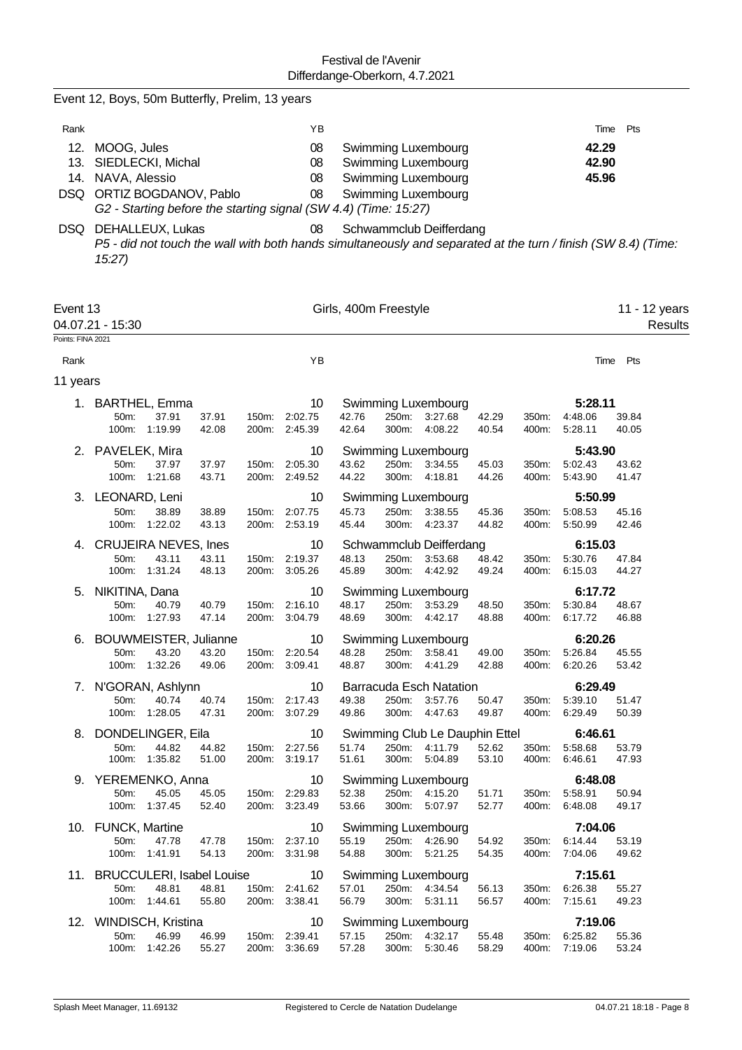|                   | Event 12, Boys, 50m Butterfly, Prelim, 13 years                                                                                                           |                |                |                                |                       |                |                                                                                          |                |                |                          |                |                          |
|-------------------|-----------------------------------------------------------------------------------------------------------------------------------------------------------|----------------|----------------|--------------------------------|-----------------------|----------------|------------------------------------------------------------------------------------------|----------------|----------------|--------------------------|----------------|--------------------------|
| Rank              |                                                                                                                                                           |                |                | ΥB                             |                       |                |                                                                                          |                |                | Time                     | Pts            |                          |
| 12.               | MOOG, Jules<br>13. SIEDLECKI, Michal<br>14. NAVA, Alessio<br>DSQ ORTIZ BOGDANOV, Pablo<br>G2 - Starting before the starting signal (SW 4.4) (Time: 15:27) |                |                | 08<br>08<br>08<br>08           |                       |                | Swimming Luxembourg<br>Swimming Luxembourg<br>Swimming Luxembourg<br>Swimming Luxembourg |                |                | 42.29<br>42.90<br>45.96  |                |                          |
|                   | DSQ DEHALLEUX, Lukas<br>P5 - did not touch the wall with both hands simultaneously and separated at the turn / finish (SW 8.4) (Time:<br>15:27            |                |                | 08                             |                       |                | Schwammclub Deifferdang                                                                  |                |                |                          |                |                          |
| Event 13          | 04.07.21 - 15:30                                                                                                                                          |                |                |                                | Girls, 400m Freestyle |                |                                                                                          |                |                |                          |                | 11 - 12 years<br>Results |
| Points: FINA 2021 |                                                                                                                                                           |                |                |                                |                       |                |                                                                                          |                |                |                          |                |                          |
| Rank<br>11 years  |                                                                                                                                                           |                |                | YB                             |                       |                |                                                                                          |                |                | Time                     | Pts            |                          |
| 1.                | <b>BARTHEL, Emma</b>                                                                                                                                      |                |                | 10                             |                       |                | Swimming Luxembourg                                                                      |                |                | 5:28.11                  |                |                          |
|                   | 37.91<br>50 <sub>m</sub> :<br>100m: 1:19.99                                                                                                               | 37.91<br>42.08 | 150m:<br>200m: | 2:02.75<br>2:45.39             | 42.76<br>42.64        | 250m:<br>300m: | 3:27.68<br>4:08.22                                                                       | 42.29<br>40.54 | 350m:<br>400m: | 4:48.06<br>5:28.11       | 39.84<br>40.05 |                          |
|                   | 2. PAVELEK, Mira                                                                                                                                          |                |                | 10                             |                       |                | Swimming Luxembourg                                                                      |                |                | 5:43.90                  |                |                          |
|                   | 50m:<br>37.97                                                                                                                                             | 37.97          | 150m:          | 2:05.30                        | 43.62                 | 250m:          | 3:34.55                                                                                  | 45.03          | 350m:          | 5:02.43                  | 43.62          |                          |
|                   | 100m: 1:21.68                                                                                                                                             | 43.71          | 200m:          | 2:49.52                        | 44.22                 | 300m:          | 4:18.81                                                                                  | 44.26          | 400m:          | 5:43.90                  | 41.47          |                          |
|                   | 3. LEONARD, Leni                                                                                                                                          |                |                | 10                             |                       |                | Swimming Luxembourg                                                                      |                |                | 5:50.99                  |                |                          |
|                   | 50m:<br>38.89<br>100m:<br>1:22.02                                                                                                                         | 38.89<br>43.13 | 150m:<br>200m: | 2:07.75<br>2:53.19             | 45.73<br>45.44        | 250m:<br>300m: | 3:38.55<br>4:23.37                                                                       | 45.36<br>44.82 | 350m:<br>400m: | 5:08.53<br>5:50.99       | 45.16<br>42.46 |                          |
| 4.                | <b>CRUJEIRA NEVES, Ines</b>                                                                                                                               |                |                | 10                             |                       |                | Schwammclub Deifferdang                                                                  |                |                | 6:15.03                  |                |                          |
|                   | 50m:<br>43.11                                                                                                                                             | 43.11          | 150m:          | 2:19.37                        | 48.13                 | 250m:          | 3:53.68                                                                                  | 48.42          | 350m:          | 5:30.76                  | 47.84          |                          |
|                   | 100m:<br>1:31.24                                                                                                                                          | 48.13          | 200m:          | 3:05.26                        | 45.89                 | 300m:          | 4:42.92                                                                                  | 49.24          | 400m:          | 6:15.03                  | 44.27          |                          |
| 5.                | NIKITINA, Dana                                                                                                                                            |                |                | 10                             |                       |                | Swimming Luxembourg                                                                      |                |                | 6:17.72                  |                |                          |
|                   | 50m:<br>40.79                                                                                                                                             | 40.79          | 150m:          | 2:16.10                        | 48.17                 | 250m:          | 3:53.29                                                                                  | 48.50          | 350m:          | 5:30.84                  | 48.67          |                          |
|                   | 100m: 1:27.93                                                                                                                                             | 47.14          | 200m:          | 3:04.79                        | 48.69                 | 300m:          | 4:42.17                                                                                  | 48.88          | 400m:          | 6:17.72                  | 46.88          |                          |
| 6.                | <b>BOUWMEISTER, Julianne</b>                                                                                                                              |                |                | 10                             |                       |                | Swimming Luxembourg                                                                      |                |                | 6:20.26                  |                |                          |
|                   | 43.20<br>50m:<br>100m: 1:32.26                                                                                                                            | 43.20<br>49.06 |                | 150m: 2:20.54<br>200m: 3:09.41 | 48.28<br>48.87        | 300m:          | 250m: 3:58.41<br>4:41.29                                                                 | 49.00<br>42.88 | 400m:          | 350m: 5:26.84<br>6:20.26 | 45.55<br>53.42 |                          |
|                   |                                                                                                                                                           |                |                |                                |                       |                |                                                                                          |                |                |                          |                |                          |
|                   | 7. N'GORAN, Ashlynn<br>50m:<br>40.74                                                                                                                      | 40.74          |                | 10<br>150m: 2:17.43            | 49.38                 |                | Barracuda Esch Natation<br>250m: 3:57.76                                                 |                |                | 6:29.49<br>350m: 5:39.10 | 51.47          |                          |
|                   | 100m: 1:28.05                                                                                                                                             | 47.31          |                | 200m: 3:07.29                  | 49.86                 |                | 300m: 4:47.63                                                                            | 50.47<br>49.87 | 400m:          | 6:29.49                  | 50.39          |                          |
|                   | 8. DONDELINGER, Eila                                                                                                                                      |                |                | 10                             |                       |                | Swimming Club Le Dauphin Ettel                                                           |                |                | 6:46.61                  |                |                          |
|                   | 50m:<br>44.82                                                                                                                                             | 44.82          |                | 150m: 2:27.56                  | 51.74                 |                | 250m: 4:11.79                                                                            | 52.62          |                | 350m: 5:58.68            | 53.79          |                          |
|                   | 100m: 1:35.82                                                                                                                                             | 51.00          |                | 200m: 3:19.17                  | 51.61                 |                | 300m: 5:04.89                                                                            | 53.10          |                | 400m: 6:46.61            | 47.93          |                          |
|                   | 9. YEREMENKO, Anna                                                                                                                                        |                |                | 10                             |                       |                | Swimming Luxembourg                                                                      |                |                | 6:48.08                  |                |                          |
|                   | 50m:<br>45.05                                                                                                                                             | 45.05          |                | 150m: 2:29.83                  | 52.38                 |                | 250m: 4:15.20                                                                            | 51.71          | 350m:          | 5:58.91                  | 50.94          |                          |
|                   | 100m: 1:37.45                                                                                                                                             | 52.40          |                | 200m: 3:23.49                  | 53.66                 |                | 300m: 5:07.97                                                                            | 52.77          |                | 400m: 6:48.08            | 49.17          |                          |
|                   | 10. FUNCK, Martine                                                                                                                                        |                |                | 10                             |                       |                | <b>Swimming Luxembourg</b>                                                               |                |                | 7:04.06                  |                |                          |
|                   | 47.78<br>50m:<br>100m: 1:41.91                                                                                                                            | 47.78<br>54.13 |                | 150m: 2:37.10<br>200m: 3:31.98 | 55.19<br>54.88        |                | 250m: 4:26.90<br>300m: 5:21.25                                                           | 54.92<br>54.35 | 400m:          | 350m: 6:14.44<br>7:04.06 | 53.19<br>49.62 |                          |
|                   |                                                                                                                                                           |                |                |                                |                       |                |                                                                                          |                |                |                          |                |                          |
|                   | 11. BRUCCULERI, Isabel Louise                                                                                                                             |                |                | 10                             |                       |                | <b>Swimming Luxembourg</b>                                                               |                |                | 7:15.61                  |                |                          |
|                   | 48.81<br>50m:<br>100m: 1:44.61                                                                                                                            | 48.81<br>55.80 |                | 150m: 2:41.62<br>200m: 3:38.41 | 57.01<br>56.79        |                | 250m: 4:34.54<br>300m: 5:31.11                                                           | 56.13<br>56.57 | 400m:          | 350m: 6:26.38<br>7:15.61 | 55.27<br>49.23 |                          |
|                   |                                                                                                                                                           |                |                |                                |                       |                |                                                                                          |                |                |                          |                |                          |
|                   | 12. WINDISCH, Kristina<br>46.99<br>50m:                                                                                                                   | 46.99          |                | 10<br>150m: 2:39.41            | 57.15                 |                | Swimming Luxembourg<br>250m: 4:32.17                                                     | 55.48          | 350m:          | 7:19.06<br>6:25.82       | 55.36          |                          |
|                   | 100m: 1:42.26                                                                                                                                             | 55.27          |                | 200m: 3:36.69                  | 57.28                 |                | 300m: 5:30.46                                                                            | 58.29          |                | 400m: 7:19.06            | 53.24          |                          |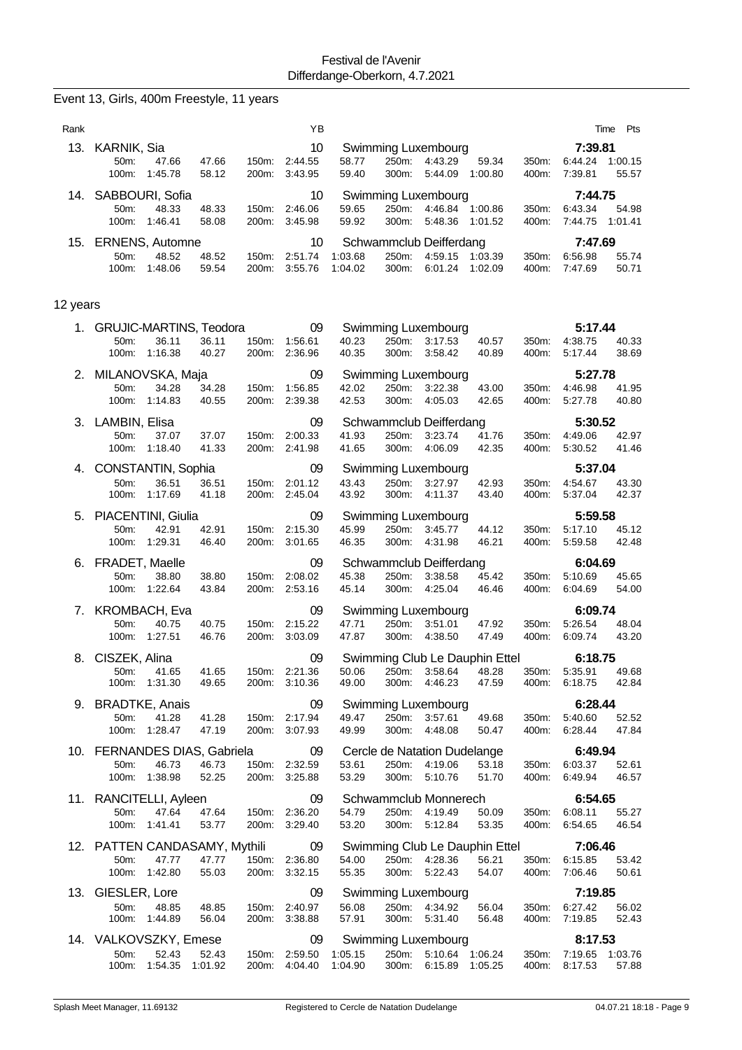|          | Event 13, Girls, 400m Freestyle, 11 years                           |                                  |                                |                    |                                              |                                                                      |                |                                  |                  |
|----------|---------------------------------------------------------------------|----------------------------------|--------------------------------|--------------------|----------------------------------------------|----------------------------------------------------------------------|----------------|----------------------------------|------------------|
| Rank     |                                                                     |                                  | YB                             |                    |                                              |                                                                      |                | Time                             | Pts              |
| 13.      | KARNIK, Sia<br>50m:<br>47.66<br>100m:<br>1:45.78                    | 47.66<br>150m:<br>58.12<br>200m: | 10<br>2:44.55<br>3:43.95       | 58.77<br>59.40     | Swimming Luxembourg<br>250m:<br>300m:        | 4:43.29<br>59.34<br>5:44.09<br>1:00.80                               | 350m:<br>400m: | 7:39.81<br>6:44.24<br>7:39.81    | 1:00.15<br>55.57 |
| 14.      | SABBOURI, Sofia<br>48.33<br>50m:<br>100m:<br>1:46.41                | 48.33<br>150m:<br>58.08<br>200m: | 10<br>2:46.06<br>3:45.98       | 59.65<br>59.92     | <b>Swimming Luxembourg</b><br>250m:<br>300m: | 4:46.84 1:00.86<br>5:48.36<br>1:01.52                                | 350m:<br>400m: | 7:44.75<br>6:43.34<br>7:44.75    | 54.98<br>1:01.41 |
| 15.      | ERNENS, Automne<br>50m:<br>48.52<br>1:48.06<br>100m:                | 48.52<br>150m:<br>59.54<br>200m: | 10<br>2:51.74<br>3:55.76       | 1:03.68<br>1:04.02 | Schwammclub Deifferdang<br>250m:<br>300m:    | 4:59.15<br>1:03.39<br>6:01.24<br>1:02.09                             | 350m:<br>400m: | 7:47.69<br>6:56.98<br>7:47.69    | 55.74<br>50.71   |
| 12 years |                                                                     |                                  |                                |                    |                                              |                                                                      |                |                                  |                  |
| 1.       | <b>GRUJIC-MARTINS, Teodora</b><br>36.11<br>50m:<br>1:16.38<br>100m: | 36.11<br>150m:<br>40.27<br>200m: | 09<br>1:56.61<br>2:36.96       | 40.23<br>40.35     | Swimming Luxembourg<br>250m:<br>300m:        | 3:17.53<br>40.57<br>3:58.42<br>40.89                                 | 350m:<br>400m: | 5:17.44<br>4:38.75<br>5:17.44    | 40.33<br>38.69   |
| 2.       | MILANOVSKA, Maja                                                    |                                  | 09                             |                    | <b>Swimming Luxembourg</b>                   |                                                                      |                | 5:27.78                          |                  |
|          | 50m:<br>34.28<br>100m:<br>1:14.83                                   | 34.28<br>150m:<br>40.55<br>200m: | 1:56.85<br>2:39.38             | 42.02<br>42.53     | 250m:<br>300m:                               | 3:22.38<br>43.00<br>4:05.03<br>42.65                                 | 350m:<br>400m: | 4:46.98<br>5:27.78               | 41.95<br>40.80   |
| 3.       | LAMBIN, Elisa                                                       |                                  | 09                             |                    | Schwammclub Deifferdang                      |                                                                      |                | 5:30.52                          |                  |
|          | 37.07<br>50m:<br>100m:<br>1:18.40                                   | 150m:<br>37.07<br>41.33<br>200m: | 2:00.33<br>2:41.98             | 41.93<br>41.65     | 250m:<br>300m:                               | 3:23.74<br>41.76<br>4:06.09<br>42.35                                 | 350m:<br>400m: | 4:49.06<br>5:30.52               | 42.97<br>41.46   |
| 4.       | CONSTANTIN, Sophia                                                  |                                  | 09                             |                    | Swimming Luxembourg                          |                                                                      |                | 5:37.04                          |                  |
|          | 50m:<br>36.51<br>1:17.69<br>100m:                                   | 36.51<br>150m:<br>41.18<br>200m: | 2:01.12<br>2:45.04             | 43.43<br>43.92     | 250m:<br>300m:                               | 3:27.97<br>42.93<br>43.40<br>4:11.37                                 | 350m:<br>400m: | 4:54.67<br>5:37.04               | 43.30<br>42.37   |
| 5.       | PIACENTINI, Giulia                                                  |                                  | 09                             |                    | Swimming Luxembourg                          |                                                                      |                | 5:59.58                          |                  |
|          | 42.91<br>50m:<br>100m:<br>1:29.31                                   | 42.91<br>150m:<br>46.40<br>200m: | 2:15.30<br>3:01.65             | 45.99<br>46.35     | 250m:<br>300m:                               | 3:45.77<br>44.12<br>4:31.98<br>46.21                                 | 350m:<br>400m: | 5:17.10<br>5:59.58               | 45.12<br>42.48   |
| 6.       | FRADET, Maelle                                                      |                                  | 09                             |                    | Schwammclub Deifferdang                      |                                                                      |                | 6:04.69                          |                  |
|          | 50m:<br>38.80<br>1:22.64<br>100m:                                   | 38.80<br>150m:<br>43.84<br>200m: | 2:08.02<br>2:53.16             | 45.38<br>45.14     | 250m:<br>300m:                               | 45.42<br>3:38.58<br>4:25.04<br>46.46                                 | 350m:<br>400m: | 5:10.69<br>6.04.69               | 45.65<br>54.00   |
| 7.       | KROMBACH, Eva                                                       |                                  | 09                             |                    | Swimming Luxembourg                          |                                                                      |                | 6:09.74                          |                  |
|          | 40.75<br>50m:<br>1.27.51<br>100m:                                   | 40.75<br>150m:<br>46.76<br>200m: | 2:15.22<br>3:03.09             | 47.71<br>47.87     | 250m:<br>300m:                               | 3:51.01<br>47.92<br>4:38.50<br>47.49                                 | 350m:<br>400m: | 5:26.54<br>6:09.74               | 48.04<br>43.20   |
|          | 8. CISZEK, Alina                                                    |                                  | 09                             |                    |                                              | Swimming Club Le Dauphin Ettel                                       |                | 6:18.75                          |                  |
|          | 50m:<br>41.65<br>100m: 1:31.30                                      | 41.65<br>49.65                   | 150m: 2:21.36<br>200m: 3:10.36 | 50.06<br>49.00     | 250m: 3:58.64<br>300m:                       | 48.28<br>4:46.23<br>47.59                                            | 350m:<br>400m: | 5:35.91<br>6:18.75               | 49.68<br>42.84   |
| 9.       | <b>BRADTKE, Anais</b>                                               |                                  | 09                             |                    | Swimming Luxembourg                          |                                                                      |                | 6:28.44                          |                  |
|          | 50m:<br>41.28<br>100m: 1:28.47                                      | 41.28<br>150m:<br>47.19          | 2:17.94<br>200m: 3:07.93       | 49.47<br>49.99     | 250m: 3:57.61<br>300m:                       | 49.68<br>4:48.08<br>50.47                                            | 350m:<br>400m: | 5:40.60<br>6:28.44               | 52.52<br>47.84   |
|          | 10. FERNANDES DIAS, Gabriela                                        |                                  | 09                             |                    |                                              | Cercle de Natation Dudelange                                         |                | 6:49.94                          |                  |
|          | 50m:<br>46.73<br>100m: 1:38.98                                      | 46.73<br>150m:<br>52.25<br>200m: | 2:32.59<br>3:25.88             | 53.61<br>53.29     | 250m:<br>300m:                               | 4:19.06<br>53.18<br>5:10.76<br>51.70                                 | 350m:<br>400m: | 6:03.37<br>6:49.94               | 52.61<br>46.57   |
|          | 11. RANCITELLI, Ayleen                                              |                                  | 09                             |                    | Schwammclub Monnerech                        |                                                                      |                | 6:54.65                          |                  |
|          | 50m:<br>47.64<br>100m:<br>1:41.41                                   | 47.64<br>53.77                   | 150m: 2:36.20<br>200m: 3:29.40 | 54.79<br>53.20     | 250m:<br>300m:                               | 4:19.49<br>50.09<br>5:12.84<br>53.35                                 | 350m:<br>400m: | 6:08.11<br>6:54.65               | 55.27<br>46.54   |
|          | 12. PATTEN CANDASAMY, Mythili                                       |                                  | 09                             |                    |                                              | Swimming Club Le Dauphin Ettel                                       |                | 7:06.46                          |                  |
|          | 47.77<br>50m:<br>100m: 1:42.80                                      | 47.77<br>55.03                   | 150m: 2:36.80<br>200m: 3:32.15 | 54.00<br>55.35     | 250m: 4:28.36<br>300m:<br>5:22.43            | 56.21<br>54.07                                                       | 350m:<br>400m: | 6:15.85<br>7:06.46               | 53.42<br>50.61   |
|          | 13. GIESLER, Lore                                                   |                                  | 09                             |                    | <b>Swimming Luxembourg</b>                   |                                                                      |                | 7:19.85                          |                  |
|          | 50m:<br>48.85<br>100m: 1:44.89                                      | 48.85<br>150m:<br>56.04          | 2:40.97<br>200m: 3:38.88       | 56.08<br>57.91     | 250m:<br>300m: 5:31.40                       | 4:34.92<br>56.04<br>56.48                                            | 350m:<br>400m: | 6:27.42<br>7:19.85               | 56.02<br>52.43   |
|          | 14. VALKOVSZKY, Emese                                               |                                  | 09                             |                    | Swimming Luxembourg                          |                                                                      |                | 8:17.53                          |                  |
|          | 50m:<br>52.43<br>100m: 1:54.35 1:01.92                              | 52.43                            | 150m: 2:59.50                  | 1:05.15            |                                              | 250m: 5:10.64 1:06.24<br>200m: 4:04.40 1:04.90 300m: 6:15.89 1:05.25 | 350m:          | 7:19.65 1:03.76<br>400m: 8:17.53 | 57.88            |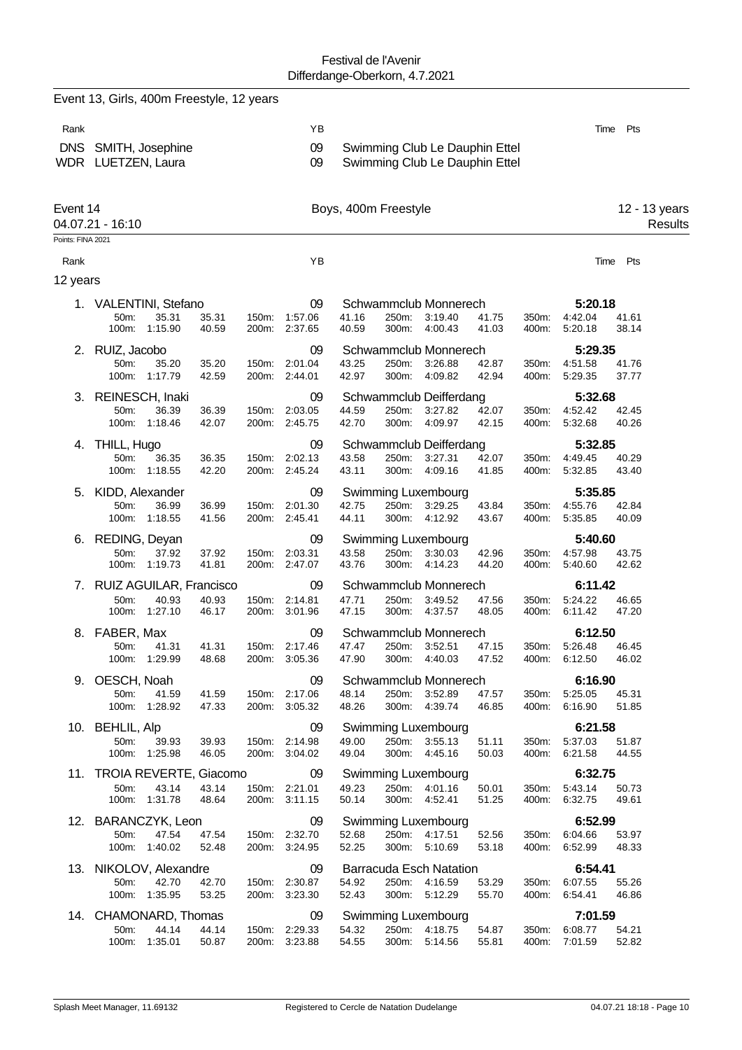|                   | Event 13, Girls, 400m Freestyle, 12 years   |                |                |                                |                      |                |                                                                  |                |                |                                |                          |  |
|-------------------|---------------------------------------------|----------------|----------------|--------------------------------|----------------------|----------------|------------------------------------------------------------------|----------------|----------------|--------------------------------|--------------------------|--|
| Rank              |                                             |                |                | ΥB                             |                      |                |                                                                  |                |                |                                | Pts<br>Time              |  |
|                   | DNS SMITH, Josephine<br>WDR LUETZEN, Laura  |                |                | 09<br>09                       |                      |                | Swimming Club Le Dauphin Ettel<br>Swimming Club Le Dauphin Ettel |                |                |                                |                          |  |
| Event 14          | 04.07.21 - 16:10                            |                |                |                                | Boys, 400m Freestyle |                |                                                                  |                |                |                                | 12 - 13 years<br>Results |  |
| Points: FINA 2021 |                                             |                |                |                                |                      |                |                                                                  |                |                |                                |                          |  |
| Rank              |                                             |                |                | ΥB                             |                      |                |                                                                  |                |                |                                | Time<br>Pts              |  |
| 12 years          |                                             |                |                |                                |                      |                |                                                                  |                |                |                                |                          |  |
| 1.                | <b>VALENTINI, Stefano</b>                   |                |                | 09                             |                      |                | Schwammclub Monnerech                                            |                |                | 5:20.18                        |                          |  |
|                   | 35.31<br>50m:<br>100m:<br>1:15.90           | 35.31<br>40.59 | 150m:          | 1:57.06<br>200m: 2:37.65       | 41.16<br>40.59       | 250m:<br>300m: | 3:19.40<br>4:00.43                                               | 41.75<br>41.03 | 350m:<br>400m: | 4:42.04<br>5:20.18             | 41.61<br>38.14           |  |
|                   | 2. RUIZ, Jacobo                             |                |                | 09                             |                      |                | Schwammclub Monnerech                                            |                |                | 5:29.35                        |                          |  |
|                   | 50m:<br>35.20<br>100m:<br>1:17.79           | 35.20<br>42.59 | 150m:          | 2:01.04<br>200m: 2:44.01       | 43.25<br>42.97       | 250m:<br>300m: | 3:26.88<br>4:09.82                                               | 42.87<br>42.94 | 350m:<br>400m: | 4:51.58<br>5:29.35             | 41.76<br>37.77           |  |
|                   | 3. REINESCH, Inaki                          |                |                | 09                             |                      |                | Schwammclub Deifferdang                                          |                |                | 5:32.68                        |                          |  |
|                   | 50m:<br>36.39<br>1:18.46<br>100m:           | 36.39<br>42.07 | 150m:<br>200m: | 2:03.05<br>2:45.75             | 44.59<br>42.70       | 250m:<br>300m: | 3:27.82<br>4:09.97                                               | 42.07<br>42.15 | 350m:<br>400m: | 4:52.42<br>5:32.68             | 42.45<br>40.26           |  |
|                   |                                             |                |                |                                |                      |                |                                                                  |                |                |                                |                          |  |
| 4.                | THILL, Hugo<br>50m:<br>36.35                |                |                | 09<br>2:02.13                  | 43.58                | 250m:          | Schwammclub Deifferdang<br>3:27.31                               |                |                | 5:32.85                        | 40.29                    |  |
|                   | 100m:<br>1:18.55                            | 36.35<br>42.20 | 150m:<br>200m: | 2:45.24                        | 43.11                | 300m:          | 4:09.16                                                          | 42.07<br>41.85 | 350m:<br>400m: | 4:49.45<br>5:32.85             | 43.40                    |  |
|                   | 5. KIDD, Alexander                          |                |                | 09                             |                      |                | Swimming Luxembourg                                              |                |                | 5:35.85                        |                          |  |
|                   | 50m:<br>36.99                               | 36.99          | 150m:          | 2:01.30                        | 42.75                | 250m:          | 3:29.25                                                          | 43.84          | 350m:          | 4:55.76                        | 42.84                    |  |
|                   | 100m: 1:18.55                               | 41.56          |                | 200m: 2:45.41                  | 44.11                | 300m:          | 4:12.92                                                          | 43.67          | 400m:          | 5:35.85                        | 40.09                    |  |
|                   | 6. REDING, Deyan                            |                |                | 09                             |                      |                | Swimming Luxembourg                                              |                |                | 5:40.60                        |                          |  |
|                   | 37.92<br>50m:<br>100m: 1:19.73              | 37.92<br>41.81 | 150m:          | 2:03.31<br>200m: 2:47.07       | 43.58<br>43.76       | 250m:<br>300m: | 3:30.03<br>4:14.23                                               | 42.96<br>44.20 | 350m:<br>400m: | 4:57.98<br>5:40.60             | 43.75<br>42.62           |  |
|                   |                                             |                |                |                                |                      |                |                                                                  |                |                |                                |                          |  |
|                   | 7. RUIZ AGUILAR, Francisco<br>50m:<br>40.93 | 40.93          | 150m:          | 09<br>2:14.81                  | 47.71                | 250m:          | Schwammclub Monnerech<br>3:49.52                                 |                |                | 6:11.42<br>5:24.22             |                          |  |
|                   | 1:27.10<br>100m:                            | 46.17          | 200m:          | 3:01.96                        | 47.15                | 300m:          | 4:37.57                                                          | 47.56<br>48.05 | 350m:<br>400m: | 6:11.42                        | 46.65<br>47.20           |  |
|                   | 8. FABER, Max                               |                |                | 09                             |                      |                | Schwammclub Monnerech                                            |                |                | 6:12.50                        |                          |  |
|                   | 50m: 41.31                                  | 41.31          |                | 150m: 2:17.46                  | 47.47                |                | 250m: 3:52.51                                                    | 47.15          | 350m:          | 5:26.48                        | 46.45                    |  |
|                   | 100m: 1:29.99                               | 48.68          |                | 200m: 3:05.36                  | 47.90                |                | 300m: 4:40.03                                                    | 47.52          |                | 400m: 6:12.50                  | 46.02                    |  |
|                   | 9. OESCH, Noah                              |                |                | 09                             |                      |                | Schwammclub Monnerech                                            |                |                | 6:16.90                        |                          |  |
|                   | 50m:<br>41.59<br>100m: 1:28.92              | 41.59<br>47.33 |                | 150m: 2:17.06<br>200m: 3:05.32 | 48.14<br>48.26       |                | 250m: 3:52.89<br>300m: 4:39.74                                   | 47.57<br>46.85 |                | 350m: 5:25.05<br>400m: 6:16.90 | 45.31<br>51.85           |  |
|                   |                                             |                |                |                                |                      |                |                                                                  |                |                |                                |                          |  |
|                   | 10. BEHLIL, Alp<br>50m:<br>39.93            | 39.93          |                | 09<br>150m: 2:14.98            | 49.00                |                | Swimming Luxembourg<br>250m: 3:55.13                             | 51.11          |                | 6:21.58<br>350m: 5:37.03       | 51.87                    |  |
|                   | 100m: 1:25.98                               | 46.05          |                | 200m: 3:04.02                  | 49.04                |                | 300m: 4:45.16                                                    | 50.03          |                | 400m: 6:21.58                  | 44.55                    |  |
|                   | 11. TROIA REVERTE, Giacomo                  |                |                | $\sim$ 09                      |                      |                | Swimming Luxembourg                                              |                |                | 6:32.75                        |                          |  |
|                   | 50m:<br>43.14                               | 43.14          |                | 150m: 2:21.01                  | 49.23                |                | 250m: 4:01.16                                                    | 50.01          |                | 350m: 5:43.14                  | 50.73                    |  |
|                   | 100m: 1:31.78                               | 48.64          |                | 200m: 3:11.15                  | 50.14                |                | 300m: 4:52.41                                                    | 51.25          |                | 400m: 6:32.75                  | 49.61                    |  |
|                   | 12. BARANCZYK, Leon                         |                |                | 09                             |                      |                | Swimming Luxembourg                                              |                |                | 6:52.99                        |                          |  |
|                   | 47.54<br>50m:                               | 47.54          |                | 150m: 2:32.70                  | 52.68                |                | 250m: 4:17.51                                                    | 52.56          |                | 350m: 6:04.66                  | 53.97                    |  |
|                   | 100m: 1:40.02                               | 52.48          |                | 200m: 3:24.95                  | 52.25                |                | 300m: 5:10.69                                                    | 53.18          |                | 400m: 6:52.99                  | 48.33                    |  |
|                   | 13. NIKOLOV, Alexandre                      |                |                | 09                             |                      |                | Barracuda Esch Natation                                          |                |                | 6:54.41                        |                          |  |
|                   | 50m:<br>42.70<br>100m: 1:35.95              | 42.70<br>53.25 |                | 150m: 2:30.87<br>200m: 3:23.30 | 54.92<br>52.43       |                | 250m: 4:16.59<br>300m: 5:12.29                                   | 53.29<br>55.70 |                | 350m: 6:07.55<br>400m: 6:54.41 | 55.26<br>46.86           |  |
|                   | 14. CHAMONARD, Thomas                       |                |                | 09                             |                      |                | Swimming Luxembourg                                              |                |                | 7:01.59                        |                          |  |
|                   | 50m:<br>44.14                               | 44.14          |                | 150m: 2:29.33                  | 54.32                |                | 250m: 4:18.75                                                    | 54.87          |                | 350m: 6:08.77                  | 54.21                    |  |
|                   | 100m: 1:35.01                               | 50.87          |                | 200m: 3:23.88                  | 54.55                |                | 300m: 5:14.56                                                    | 55.81          | 400m:          | 7:01.59                        | 52.82                    |  |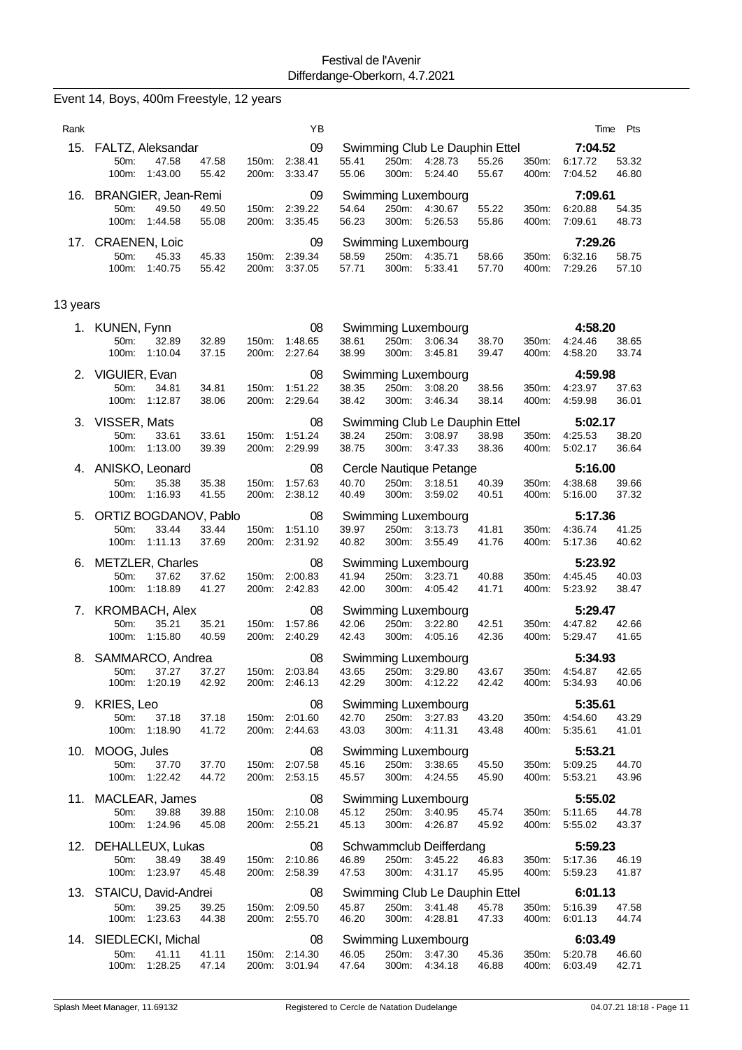|          | Event 14, Boys, 400m Freestyle, 12 years                   |                |                |                                      |                |                |                                                      |                |                |                               |                |
|----------|------------------------------------------------------------|----------------|----------------|--------------------------------------|----------------|----------------|------------------------------------------------------|----------------|----------------|-------------------------------|----------------|
| Rank     |                                                            |                |                | YB                                   |                |                |                                                      |                |                | Time                          | Pts            |
| 15.      | FALTZ, Aleksandar<br>47.58<br>50m:<br>100m:<br>1:43.00     | 47.58<br>55.42 | 150m:<br>200m: | 09<br>2:38.41<br>3:33.47             | 55.41<br>55.06 | 250m:<br>300m: | Swimming Club Le Dauphin Ettel<br>4:28.73<br>5:24.40 | 55.26<br>55.67 | 350m:<br>400m: | 7:04.52<br>6:17.72<br>7:04.52 | 53.32<br>46.80 |
| 16.      | BRANGIER, Jean-Remi<br>49.50<br>50m:<br>100m:<br>1:44.58   | 49.50<br>55.08 | 150m:<br>200m: | 09<br>2:39.22<br>3:35.45             | 54.64<br>56.23 | 250m:<br>300m: | Swimming Luxembourg<br>4:30.67<br>5:26.53            | 55.22<br>55.86 | 350m:<br>400m: | 7:09.61<br>6:20.88<br>7:09.61 | 54.35<br>48.73 |
| 17.      | <b>CRAENEN, Loic</b><br>50m:<br>45.33<br>1:40.75<br>100m:  | 45.33<br>55.42 | 150m:<br>200m: | 09<br>2:39.34<br>3:37.05             | 58.59<br>57.71 | 250m:<br>300m: | Swimming Luxembourg<br>4:35.71<br>5:33.41            | 58.66<br>57.70 | 350m:<br>400m: | 7:29.26<br>6:32.16<br>7:29.26 | 58.75<br>57.10 |
| 13 years |                                                            |                |                |                                      |                |                |                                                      |                |                |                               |                |
|          | 1. KUNEN, Fynn<br>32.89<br>50m:<br>100m:<br>1:10.04        | 32.89<br>37.15 | 150m:<br>200m: | 08<br>1:48.65<br>2:27.64             | 38.61<br>38.99 | 250m:<br>300m: | Swimming Luxembourg<br>3:06.34<br>3:45.81            | 38.70<br>39.47 | 350m:<br>400m: | 4:58.20<br>4:24.46<br>4:58.20 | 38.65<br>33.74 |
|          | 2. VIGUIER, Evan<br>50m:<br>34.81<br>100m:<br>1:12.87      | 34.81<br>38.06 | 150m:<br>200m: | 08<br>1:51.22<br>2:29.64             | 38.35<br>38.42 | 250m:<br>300m: | Swimming Luxembourg<br>3:08.20<br>3:46.34            | 38.56<br>38.14 | 350m:<br>400m: | 4:59.98<br>4:23.97<br>4:59.98 | 37.63<br>36.01 |
| 3.       | VISSER, Mats<br>50m:<br>33.61<br>100m:<br>1:13.00          | 33.61<br>39.39 | 150m:<br>200m: | 08<br>1:51.24<br>2:29.99             | 38.24<br>38.75 | 250m:<br>300m: | Swimming Club Le Dauphin Ettel<br>3:08.97<br>3:47.33 | 38.98<br>38.36 | 350m:<br>400m: | 5:02.17<br>4:25.53<br>5:02.17 | 38.20<br>36.64 |
| 4.       | ANISKO, Leonard<br>50m:<br>35.38<br>1:16.93<br>100m:       | 35.38<br>41.55 | 150m:<br>200m: | 08<br>1:57.63<br>2:38.12             | 40.70<br>40.49 | 250m:<br>300m: | Cercle Nautique Petange<br>3:18.51<br>3:59.02        | 40.39<br>40.51 | 350m:<br>400m: | 5:16.00<br>4:38.68<br>5:16.00 | 39.66<br>37.32 |
| 5.       | ORTIZ BOGDANOV, Pablo<br>33.44<br>50m:<br>1:11.13<br>100m: | 33.44<br>37.69 | 150m:<br>200m: | 08<br>1:51.10<br>2:31.92             | 39.97<br>40.82 | 250m:<br>300m: | Swimming Luxembourg<br>3:13.73<br>3:55.49            | 41.81<br>41.76 | 350m:<br>400m: | 5:17.36<br>4:36.74<br>5:17.36 | 41.25<br>40.62 |
| 6.       | METZLER, Charles<br>37.62<br>50m:<br>100m:<br>1:18.89      | 37.62<br>41.27 | 150m:<br>200m: | 08<br>2:00.83<br>2:42.83             | 41.94<br>42.00 | 250m:<br>300m: | Swimming Luxembourg<br>3:23.71<br>4:05.42            | 40.88<br>41.71 | 350m:<br>400m: | 5:23.92<br>4:45.45<br>5:23.92 | 40.03<br>38.47 |
| 7.       | <b>KROMBACH, Alex</b><br>35.21<br>50m:<br>1:15.80<br>100m: | 35.21<br>40.59 | 150m:<br>200m: | 08<br>1:57.86<br>2:40.29             | 42.06<br>42.43 | 250m:<br>300m: | Swimming Luxembourg<br>3:22.80<br>4:05.16            | 42.51<br>42.36 | 350m:<br>400m: | 5:29.47<br>4:47.82<br>5:29.47 | 42.66<br>41.65 |
|          | 8. SAMMARCO, Andrea<br>50m:<br>37.27<br>1:20.19<br>100m:   | 37.27<br>42.92 |                | 08<br>150m: 2:03.84<br>200m: 2:46.13 | 43.65<br>42.29 | 300m:          | Swimming Luxembourg<br>250m: 3:29.80<br>4:12.22      | 43.67<br>42.42 | 350m:<br>400m: | 5:34.93<br>4:54.87<br>5:34.93 | 42.65<br>40.06 |
| 9.       | KRIES, Leo<br>50m:<br>37.18<br>100m:<br>1:18.90            | 37.18<br>41.72 | 150m:          | 08<br>2:01.60<br>200m: 2:44.63       | 42.70<br>43.03 | 300m:          | Swimming Luxembourg<br>250m: 3:27.83<br>4:11.31      | 43.20<br>43.48 | 350m:<br>400m: | 5:35.61<br>4:54.60<br>5:35.61 | 43.29<br>41.01 |
|          | 10. MOOG, Jules<br>50m:<br>37.70<br>1:22.42<br>100m:       | 37.70<br>44.72 | 150m:          | 08<br>2:07.58<br>200m: 2:53.15       | 45.16<br>45.57 | 250m:<br>300m: | Swimming Luxembourg<br>3:38.65<br>4:24.55            | 45.50<br>45.90 | 350m:<br>400m: | 5:53.21<br>5:09.25<br>5:53.21 | 44.70<br>43.96 |
|          | 11. MACLEAR, James<br>50m:<br>39.88<br>1:24.96<br>100m:    | 39.88<br>45.08 |                | 08<br>150m: 2:10.08<br>200m: 2:55.21 | 45.12<br>45.13 | 250m:<br>300m: | Swimming Luxembourg<br>3:40.95<br>4:26.87            | 45.74<br>45.92 | 350m:<br>400m: | 5:55.02<br>5:11.65<br>5:55.02 | 44.78<br>43.37 |
|          | 12. DEHALLEUX, Lukas<br>38.49<br>50m:<br>100m: 1:23.97     | 38.49<br>45.48 |                | 08<br>150m: 2:10.86<br>200m: 2:58.39 | 46.89<br>47.53 | 250m:<br>300m: | Schwammclub Deifferdang<br>3:45.22<br>4:31.17        | 46.83<br>45.95 | 350m:<br>400m: | 5:59.23<br>5:17.36<br>5.59.23 | 46.19<br>41.87 |
|          | 13. STAICU, David-Andrei<br>39.25<br>50m:<br>100m: 1:23.63 | 39.25<br>44.38 | 150m:          | 08<br>2:09.50<br>200m: 2:55.70       | 45.87<br>46.20 | 250m:<br>300m: | Swimming Club Le Dauphin Ettel<br>3:41.48<br>4:28.81 | 45.78<br>47.33 | 350m:<br>400m: | 6:01.13<br>5:16.39<br>6:01.13 | 47.58<br>44.74 |
| 14.      | SIEDLECKI, Michal<br>50m:<br>41.11<br>1:28.25<br>100m:     | 41.11<br>47.14 | 150m:<br>200m: | 08<br>2:14.30<br>3:01.94             | 46.05<br>47.64 | 300m:          | Swimming Luxembourg<br>250m: 3:47.30<br>4:34.18      | 45.36<br>46.88 | 350m:<br>400m: | 6:03.49<br>5:20.78<br>6:03.49 | 46.60<br>42.71 |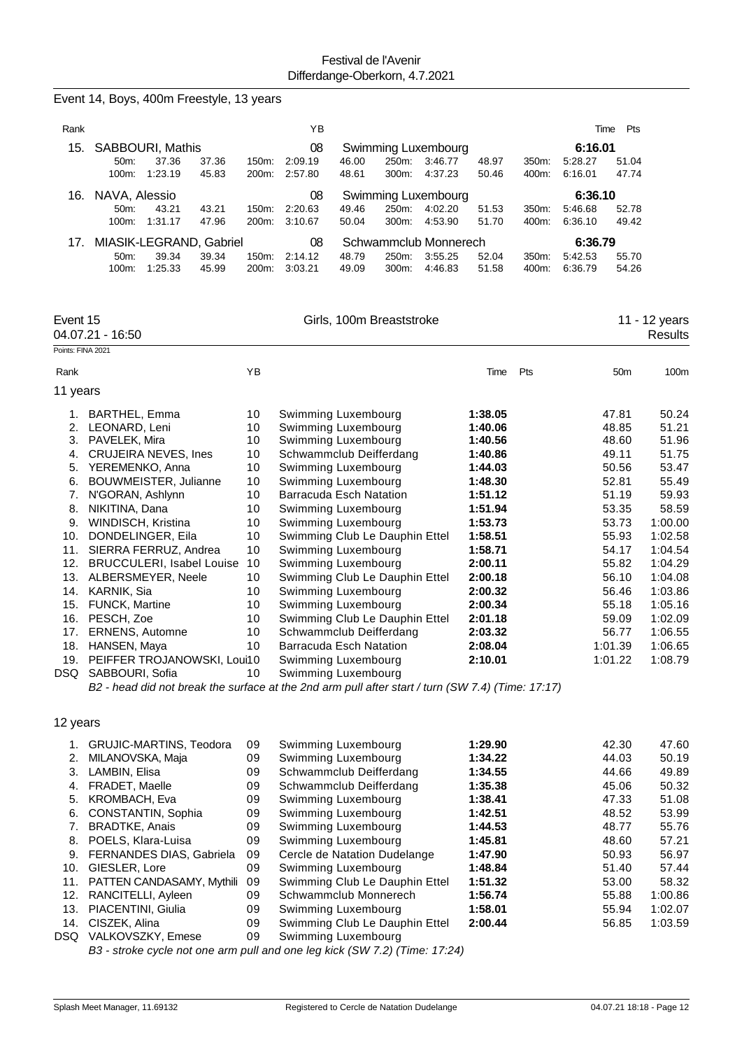|                   | Event 14, Boys, 400m Freestyle, 13 years                                                          |          |         |                                                           |       |                     |                    |       |                    |                  |                    |
|-------------------|---------------------------------------------------------------------------------------------------|----------|---------|-----------------------------------------------------------|-------|---------------------|--------------------|-------|--------------------|------------------|--------------------|
| Rank              |                                                                                                   |          | YB      |                                                           |       |                     |                    |       | Time               | Pts              |                    |
| 15.               | SABBOURI, Mathis                                                                                  |          | 08      |                                                           |       | Swimming Luxembourg |                    |       | 6:16.01            |                  |                    |
|                   | 50m:<br>37.36<br>37.36                                                                            | 150m:    | 2:09.19 | 46.00                                                     | 250m: | 3:46.77             | 48.97              | 350m: | 5:28.27            | 51.04            |                    |
|                   | 100m:<br>1:23.19<br>45.83                                                                         | 200m:    | 2:57.80 | 48.61                                                     | 300m: | 4:37.23             | 50.46              | 400m: | 6.16.01            | 47.74            |                    |
| 16.               | NAVA, Alessio                                                                                     |          | 08      | Swimming Luxembourg                                       |       |                     |                    |       | 6:36.10            |                  |                    |
|                   | 43.21<br>43.21<br>50m:                                                                            | 150m:    | 2:20.63 | 49.46                                                     | 250m: | 4:02.20             | 51.53              | 350m: | 5:46.68            | 52.78            |                    |
|                   | 100m:<br>1:31.17<br>47.96                                                                         | 200m:    | 3:10.67 | 50.04                                                     | 300m: | 4:53.90             | 51.70              | 400m: | 6:36.10            | 49.42            |                    |
|                   |                                                                                                   |          |         |                                                           |       |                     |                    |       |                    |                  |                    |
| 17.               | MIASIK-LEGRAND, Gabriel                                                                           |          | 08      | Schwammclub Monnerech                                     |       |                     |                    |       | 6:36.79            |                  |                    |
|                   | 39.34<br>39.34<br>50m:                                                                            | 150m:    | 2:14.12 | 48.79                                                     | 250m: | 3:55.25<br>4:46.83  | 52.04              | 350m: | 5:42.53<br>6:36.79 | 55.70            |                    |
|                   | 100m:<br>1:25.33<br>45.99                                                                         | 200m:    | 3:03.21 | 49.09                                                     | 300m: |                     | 51.58              | 400m: |                    | 54.26            |                    |
| Event 15          |                                                                                                   |          |         | Girls, 100m Breaststroke                                  |       |                     |                    |       |                    |                  | 11 - 12 years      |
|                   | 04.07.21 - 16:50                                                                                  |          |         |                                                           |       |                     |                    |       |                    |                  | <b>Results</b>     |
| Points: FINA 2021 |                                                                                                   |          |         |                                                           |       |                     |                    |       |                    |                  |                    |
| Rank              |                                                                                                   | YB       |         |                                                           |       |                     | Time               | Pts   |                    | 50m              | 100m               |
| 11 years          |                                                                                                   |          |         |                                                           |       |                     |                    |       |                    |                  |                    |
| 1.                | BARTHEL, Emma                                                                                     | 10       |         | Swimming Luxembourg                                       |       |                     | 1:38.05            |       |                    | 47.81            | 50.24              |
| 2.                | LEONARD, Leni                                                                                     | 10       |         | Swimming Luxembourg                                       |       |                     | 1:40.06            |       |                    | 48.85            | 51.21              |
| 3.                | PAVELEK, Mira                                                                                     | 10       |         | Swimming Luxembourg                                       |       |                     | 1:40.56            |       |                    | 48.60            | 51.96              |
| 4.                | <b>CRUJEIRA NEVES, Ines</b>                                                                       | 10       |         | Schwammclub Deifferdang                                   |       |                     | 1:40.86            |       |                    | 49.11            | 51.75              |
| 5.                | YEREMENKO, Anna                                                                                   | 10       |         | Swimming Luxembourg                                       |       |                     | 1:44.03            |       |                    | 50.56            | 53.47              |
| 6.                | BOUWMEISTER, Julianne                                                                             | 10       |         | Swimming Luxembourg                                       |       |                     | 1:48.30            |       |                    | 52.81            | 55.49              |
| 7.                | N'GORAN, Ashlynn                                                                                  | 10       |         | <b>Barracuda Esch Natation</b>                            |       |                     | 1:51.12            |       |                    | 51.19            | 59.93              |
| 8.                | NIKITINA, Dana                                                                                    | 10       |         | Swimming Luxembourg                                       |       |                     | 1:51.94            |       |                    | 53.35            | 58.59              |
| 9.                | WINDISCH, Kristina                                                                                | 10       |         | Swimming Luxembourg                                       |       |                     | 1:53.73            |       |                    | 53.73            | 1:00.00            |
| 10.               | DONDELINGER, Eila                                                                                 | 10       |         | Swimming Club Le Dauphin Ettel                            |       |                     | 1:58.51            |       |                    | 55.93            | 1:02.58            |
| 11.               | SIERRA FERRUZ, Andrea                                                                             | 10       |         | Swimming Luxembourg                                       |       |                     | 1:58.71            |       |                    | 54.17            | 1:04.54            |
| 12.               | <b>BRUCCULERI, Isabel Louise</b>                                                                  | 10       |         | Swimming Luxembourg                                       |       |                     | 2:00.11            |       |                    | 55.82            | 1:04.29            |
| 13.               | ALBERSMEYER, Neele                                                                                | 10       |         | Swimming Club Le Dauphin Ettel                            |       |                     | 2:00.18            |       |                    | 56.10            | 1:04.08            |
| 14.               | KARNIK, Sia                                                                                       | 10       |         | Swimming Luxembourg                                       |       |                     | 2:00.32            |       |                    | 56.46            | 1:03.86            |
|                   | 15. FUNCK, Martine                                                                                | 10       |         | Swimming Luxembourg                                       |       |                     | 2:00.34            |       |                    | 55.18            | 1:05.16            |
| 16.               | PESCH, Zoe                                                                                        | 10       |         | Swimming Club Le Dauphin Ettel                            |       |                     | 2:01.18            |       |                    | 59.09            | 1:02.09            |
| 17.               | <b>ERNENS, Automne</b><br>18. HANSEN, Maya                                                        | 10<br>10 |         | Schwammclub Deifferdang<br><b>Barracuda Esch Natation</b> |       |                     | 2:03.32<br>2:08.04 |       |                    | 56.77<br>1:01.39 | 1:06.55<br>1:06.65 |
|                   | 19. PEIFFER TROJANOWSKI, Loui10                                                                   |          |         | Swimming Luxembourg                                       |       |                     | 2:10.01            |       |                    | 1:01.22          | 1:08.79            |
|                   | DSQ SABBOURI, Sofia                                                                               | 10       |         | Swimming Luxembourg                                       |       |                     |                    |       |                    |                  |                    |
|                   | B2 - head did not break the surface at the 2nd arm pull after start / turn (SW 7.4) (Time: 17:17) |          |         |                                                           |       |                     |                    |       |                    |                  |                    |
|                   |                                                                                                   |          |         |                                                           |       |                     |                    |       |                    |                  |                    |
| 12 years          |                                                                                                   |          |         |                                                           |       |                     |                    |       |                    |                  |                    |
|                   | 1. GRUJIC-MARTINS, Teodora                                                                        | 09       |         | Swimming Luxembourg                                       |       |                     | 1:29.90            |       |                    | 42.30            | 47.60              |
| 2.                | MILANOVSKA, Maja                                                                                  | 09       |         | Swimming Luxembourg                                       |       |                     | 1:34.22            |       |                    | 44.03            | 50.19              |
| 3.                | LAMBIN, Elisa                                                                                     | 09       |         | Schwammclub Deifferdang                                   |       |                     | 1:34.55            |       |                    | 44.66            | 49.89              |
|                   | 4. FRADET, Maelle                                                                                 | 09       |         | Schwammclub Deifferdang                                   |       |                     | 1:35.38            |       |                    | 45.06            | 50.32              |
| 5.                | KROMBACH, Eva                                                                                     | 09       |         | Swimming Luxembourg                                       |       |                     | 1:38.41            |       |                    | 47.33            | 51.08              |
| 6.                | CONSTANTIN, Sophia                                                                                | 09       |         | Swimming Luxembourg                                       |       |                     | 1:42.51            |       |                    | 48.52            | 53.99              |
| 7.                | <b>BRADTKE, Anais</b>                                                                             | 09       |         | Swimming Luxembourg                                       |       |                     | 1:44.53            |       |                    | 48.77            | 55.76              |
|                   | 8. POELS, Klara-Luisa                                                                             | 09       |         | Swimming Luxembourg                                       |       |                     | 1:45.81            |       |                    | 48.60            | 57.21              |

|     | <b>GRUJIC-MARTINS, Teodora</b>  | 09 | Swimming Luxembourg            | 1:29.90 | 42.30 | 47.60   |
|-----|---------------------------------|----|--------------------------------|---------|-------|---------|
| 2.  | MILANOVSKA, Maja                | 09 | Swimming Luxembourg            | 1:34.22 | 44.03 | 50.19   |
| 3.  | LAMBIN, Elisa                   | 09 | Schwammclub Deifferdang        | 1:34.55 | 44.66 | 49.89   |
| 4.  | FRADET, Maelle                  | 09 | Schwammclub Deifferdang        | 1:35.38 | 45.06 | 50.32   |
| 5.  | <b>KROMBACH, Eva</b>            | 09 | Swimming Luxembourg            | 1:38.41 | 47.33 | 51.08   |
| 6.  | CONSTANTIN, Sophia              | 09 | Swimming Luxembourg            | 1:42.51 | 48.52 | 53.99   |
|     | <b>BRADTKE, Anais</b>           | 09 | Swimming Luxembourg            | 1:44.53 | 48.77 | 55.76   |
| 8.  | POELS, Klara-Luisa              | 09 | Swimming Luxembourg            | 1:45.81 | 48.60 | 57.21   |
| 9.  | <b>FERNANDES DIAS, Gabriela</b> | 09 | Cercle de Natation Dudelange   | 1:47.90 | 50.93 | 56.97   |
| 10. | GIESLER, Lore                   | 09 | Swimming Luxembourg            | 1:48.84 | 51.40 | 57.44   |
| 11. | PATTEN CANDASAMY, Mythili       | 09 | Swimming Club Le Dauphin Ettel | 1:51.32 | 53.00 | 58.32   |
| 12. | RANCITELLI, Ayleen              | 09 | Schwammclub Monnerech          | 1:56.74 | 55.88 | 1:00.86 |
| 13. | PIACENTINI, Giulia              | 09 | Swimming Luxembourg            | 1:58.01 | 55.94 | 1:02.07 |
| 14. | CISZEK, Alina                   | 09 | Swimming Club Le Dauphin Ettel | 2:00.44 | 56.85 | 1:03.59 |
| DSQ | VALKOVSZKY, Emese               | 09 | Swimming Luxembourg            |         |       |         |
|     |                                 |    |                                |         |       |         |

*B3 - stroke cycle not one arm pull and one leg kick (SW 7.2) (Time: 17:24)*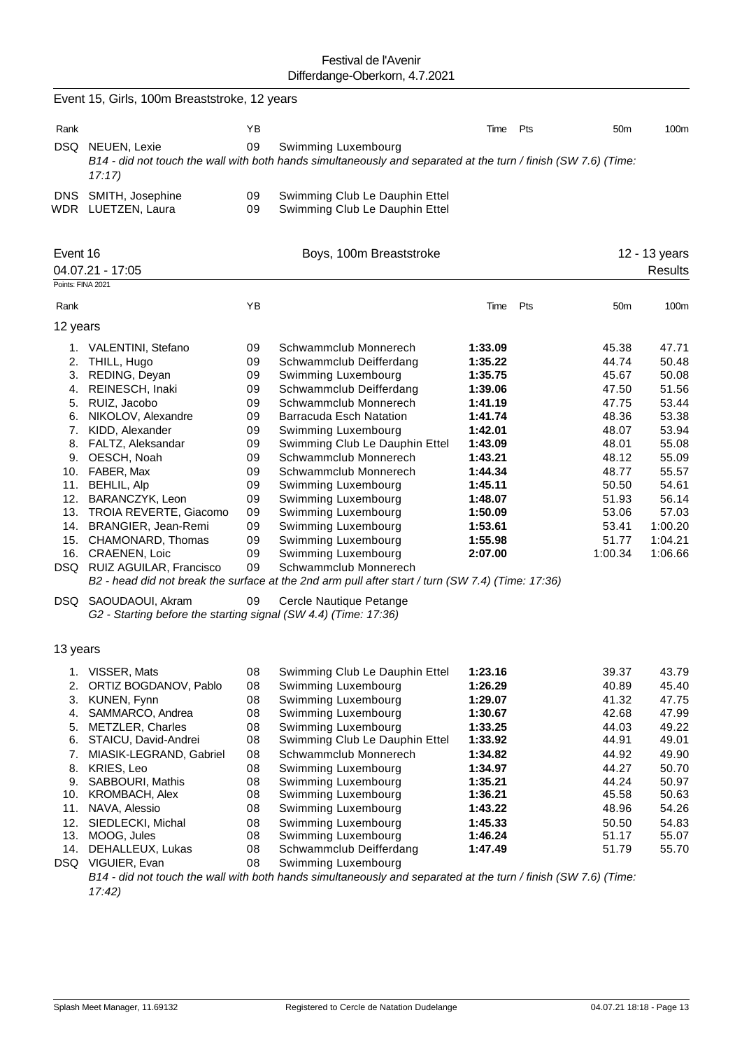|                               | Event 15, Girls, 100m Breaststroke, 12 years                                            |                      |                                                                                                                                       |                                          |     |                                  |                                  |
|-------------------------------|-----------------------------------------------------------------------------------------|----------------------|---------------------------------------------------------------------------------------------------------------------------------------|------------------------------------------|-----|----------------------------------|----------------------------------|
| Rank                          |                                                                                         | YB                   |                                                                                                                                       | Time                                     | Pts | 50 <sub>m</sub>                  | 100m                             |
| DSQ.                          | NEUEN, Lexie<br>17:17                                                                   | 09                   | Swimming Luxembourg<br>B14 - did not touch the wall with both hands simultaneously and separated at the turn / finish (SW 7.6) (Time: |                                          |     |                                  |                                  |
| <b>DNS</b>                    | SMITH, Josephine<br>WDR LUETZEN, Laura                                                  | 09<br>09             | Swimming Club Le Dauphin Ettel<br>Swimming Club Le Dauphin Ettel                                                                      |                                          |     |                                  |                                  |
| Event 16<br>Points: FINA 2021 | 04.07.21 - 17:05                                                                        |                      | Boys, 100m Breaststroke                                                                                                               |                                          |     |                                  | 12 - 13 years<br><b>Results</b>  |
| Rank                          |                                                                                         | YB                   |                                                                                                                                       | Time                                     | Pts | 50 <sub>m</sub>                  | 100m                             |
| 12 years                      |                                                                                         |                      |                                                                                                                                       |                                          |     |                                  |                                  |
| 2.<br>3.                      | 1. VALENTINI, Stefano<br>THILL, Hugo<br>REDING, Deyan                                   | 09<br>09<br>09       | Schwammclub Monnerech<br>Schwammclub Deifferdang<br>Swimming Luxembourg                                                               | 1:33.09<br>1:35.22<br>1:35.75            |     | 45.38<br>44.74<br>45.67          | 47.71<br>50.48<br>50.08          |
| 4.                            | REINESCH, Inaki<br>5. RUIZ, Jacobo<br>6. NIKOLOV, Alexandre                             | 09<br>09<br>09       | Schwammclub Deifferdang<br>Schwammclub Monnerech<br>Barracuda Esch Natation                                                           | 1:39.06<br>1:41.19<br>1:41.74            |     | 47.50<br>47.75<br>48.36          | 51.56<br>53.44<br>53.38          |
|                               | 7. KIDD, Alexander<br>8. FALTZ, Aleksandar<br>9. OESCH, Noah                            | 09<br>09<br>09       | Swimming Luxembourg<br>Swimming Club Le Dauphin Ettel<br>Schwammclub Monnerech                                                        | 1:42.01<br>1:43.09<br>1:43.21            |     | 48.07<br>48.01<br>48.12          | 53.94<br>55.08<br>55.09          |
| 10.<br>11.<br>12.             | FABER, Max<br><b>BEHLIL, Alp</b><br>BARANCZYK, Leon<br>13. TROIA REVERTE, Giacomo       | 09<br>09<br>09<br>09 | Schwammclub Monnerech<br>Swimming Luxembourg<br>Swimming Luxembourg<br>Swimming Luxembourg                                            | 1:44.34<br>1:45.11<br>1:48.07<br>1:50.09 |     | 48.77<br>50.50<br>51.93<br>53.06 | 55.57<br>54.61<br>56.14<br>57.03 |
|                               | 14. BRANGIER, Jean-Remi<br>15. CHAMONARD, Thomas<br>16. CRAENEN, Loic                   | 09<br>09<br>09       | Swimming Luxembourg<br>Swimming Luxembourg<br>Swimming Luxembourg                                                                     | 1:53.61<br>1:55.98<br>2:07.00            |     | 53.41<br>51.77<br>1:00.34        | 1:00.20<br>1:04.21<br>1:06.66    |
|                               | DSQ RUIZ AGUILAR, Francisco                                                             | 09                   | Schwammclub Monnerech<br>B2 - head did not break the surface at the 2nd arm pull after start / turn (SW 7.4) (Time: 17:36)            |                                          |     |                                  |                                  |
|                               | DSQ SAOUDAOUI, Akram<br>G2 - Starting before the starting signal (SW 4.4) (Time: 17:36) | 09                   | Cercle Nautique Petange                                                                                                               |                                          |     |                                  |                                  |
| 13 years                      |                                                                                         |                      |                                                                                                                                       |                                          |     |                                  |                                  |
| 1.                            | VISSER, Mats                                                                            | 08                   | Swimming Club Le Dauphin Ettel                                                                                                        | 1:23.16                                  |     | 39.37                            | 43.79                            |
| 2.<br>3.                      | ORTIZ BOGDANOV, Pablo<br>KUNEN, Fynn                                                    | 08<br>08             | Swimming Luxembourg<br>Swimming Luxembourg                                                                                            | 1:26.29<br>1:29.07                       |     | 40.89<br>41.32                   | 45.40<br>47.75                   |
| 4.                            | SAMMARCO, Andrea                                                                        | 08                   | Swimming Luxembourg                                                                                                                   | 1:30.67                                  |     | 42.68                            | 47.99                            |
| 5.<br>6.                      | METZLER, Charles<br>STAICU, David-Andrei                                                | 08<br>08             | Swimming Luxembourg<br>Swimming Club Le Dauphin Ettel                                                                                 | 1:33.25<br>1:33.92                       |     | 44.03<br>44.91                   | 49.22<br>49.01                   |
| 7.                            | MIASIK-LEGRAND, Gabriel                                                                 | 08                   | Schwammclub Monnerech                                                                                                                 | 1:34.82                                  |     | 44.92                            | 49.90                            |
| 8.                            | KRIES, Leo                                                                              | 08                   | Swimming Luxembourg                                                                                                                   | 1:34.97                                  |     | 44.27                            | 50.70                            |
| 9.<br>10.                     | SABBOURI, Mathis<br><b>KROMBACH, Alex</b>                                               | 08<br>08             | Swimming Luxembourg                                                                                                                   | 1:35.21                                  |     | 44.24<br>45.58                   | 50.97<br>50.63                   |
| 11.                           | NAVA, Alessio                                                                           | 08                   | Swimming Luxembourg<br>Swimming Luxembourg                                                                                            | 1:36.21<br>1:43.22                       |     | 48.96                            | 54.26                            |
| 12.                           | SIEDLECKI, Michal                                                                       | 08                   | Swimming Luxembourg                                                                                                                   | 1:45.33                                  |     | 50.50                            | 54.83                            |
| 13.                           | MOOG, Jules                                                                             | 08                   | Swimming Luxembourg                                                                                                                   | 1:46.24                                  |     | 51.17                            | 55.07                            |
| 14.                           | DEHALLEUX, Lukas<br>DSQ VIGUIER, Evan                                                   | 08<br>08             | Schwammclub Deifferdang<br>Swimming Luxembourg                                                                                        | 1:47.49                                  |     | 51.79                            | 55.70                            |

*B14 - did not touch the wall with both hands simultaneously and separated at the turn / finish (SW 7.6) (Time: 17:42)*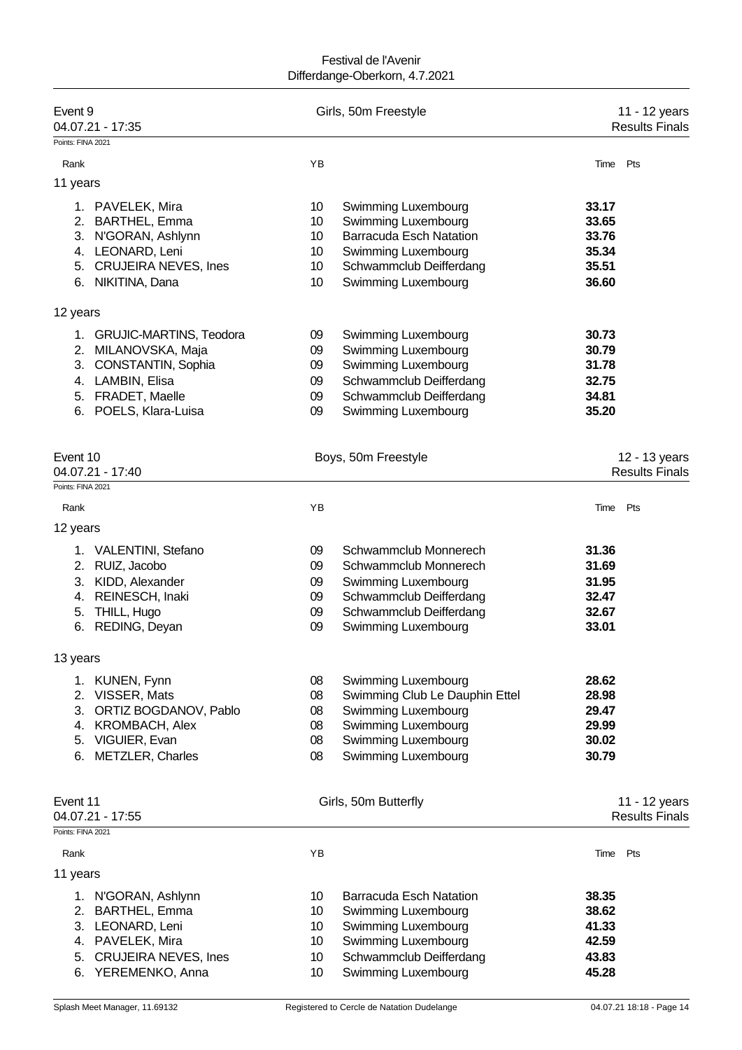| Event 9<br>04.07.21 - 17:35<br>Points: FINA 2021 |          | Girls, 50m Freestyle                           |                | 11 - 12 years<br><b>Results Finals</b> |
|--------------------------------------------------|----------|------------------------------------------------|----------------|----------------------------------------|
| Rank                                             | YB       |                                                | Time           | Pts                                    |
|                                                  |          |                                                |                |                                        |
| 11 years                                         |          |                                                |                |                                        |
| 1. PAVELEK, Mira                                 | 10       | Swimming Luxembourg                            | 33.17          |                                        |
| 2. BARTHEL, Emma                                 | 10       | Swimming Luxembourg                            | 33.65          |                                        |
| 3. N'GORAN, Ashlynn                              | 10       | <b>Barracuda Esch Natation</b>                 | 33.76          |                                        |
| 4. LEONARD, Leni                                 | 10       | Swimming Luxembourg                            | 35.34          |                                        |
| 5. CRUJEIRA NEVES, Ines                          | 10       | Schwammclub Deifferdang                        | 35.51          |                                        |
| 6. NIKITINA, Dana                                | 10       | Swimming Luxembourg                            | 36.60          |                                        |
| 12 years                                         |          |                                                |                |                                        |
| 1. GRUJIC-MARTINS, Teodora                       | 09       | Swimming Luxembourg                            | 30.73          |                                        |
| 2. MILANOVSKA, Maja                              | 09       | Swimming Luxembourg                            | 30.79          |                                        |
| 3. CONSTANTIN, Sophia                            | 09       | Swimming Luxembourg                            | 31.78          |                                        |
| 4. LAMBIN, Elisa                                 | 09       | Schwammclub Deifferdang                        | 32.75          |                                        |
| 5. FRADET, Maelle                                | 09       | Schwammclub Deifferdang                        | 34.81          |                                        |
| 6. POELS, Klara-Luisa                            | 09       | Swimming Luxembourg                            | 35.20          |                                        |
|                                                  |          |                                                |                |                                        |
| Event 10                                         |          | Boys, 50m Freestyle                            |                | 12 - 13 years                          |
| 04.07.21 - 17:40                                 |          |                                                |                | <b>Results Finals</b>                  |
| Points: FINA 2021                                |          |                                                |                |                                        |
| Rank                                             | YB       |                                                | Time           | Pts                                    |
| 12 years                                         |          |                                                |                |                                        |
|                                                  |          |                                                |                |                                        |
| 1. VALENTINI, Stefano                            | 09       | Schwammclub Monnerech                          | 31.36          |                                        |
| 2. RUIZ, Jacobo                                  | 09       | Schwammclub Monnerech                          | 31.69          |                                        |
| 3. KIDD, Alexander                               | 09       | Swimming Luxembourg                            | 31.95          |                                        |
| 4. REINESCH, Inaki<br>5. THILL, Hugo             | 09<br>09 | Schwammclub Deifferdang                        | 32.47<br>32.67 |                                        |
| 6. REDING, Deyan                                 | 09       | Schwammclub Deifferdang<br>Swimming Luxembourg | 33.01          |                                        |
|                                                  |          |                                                |                |                                        |
| 13 years                                         |          |                                                |                |                                        |
| 1. KUNEN, Fynn                                   | 08       | Swimming Luxembourg                            | 28.62          |                                        |
| 2. VISSER, Mats                                  | 08       | Swimming Club Le Dauphin Ettel                 | 28.98          |                                        |
| 3. ORTIZ BOGDANOV, Pablo                         | 08       | Swimming Luxembourg                            | 29.47          |                                        |
| 4. KROMBACH, Alex                                | 08       | Swimming Luxembourg                            | 29.99          |                                        |
| 5. VIGUIER, Evan                                 | 08       | Swimming Luxembourg                            | 30.02          |                                        |
| 6. METZLER, Charles                              | 08       | Swimming Luxembourg                            | 30.79          |                                        |
|                                                  |          |                                                |                |                                        |
| Event 11<br>04.07.21 - 17:55                     |          | Girls, 50m Butterfly                           |                | 11 - 12 years<br><b>Results Finals</b> |
| Points: FINA 2021                                |          |                                                |                |                                        |
| Rank                                             | YB       |                                                | Time Pts       |                                        |
| 11 years                                         |          |                                                |                |                                        |
|                                                  |          |                                                |                |                                        |
| 1. N'GORAN, Ashlynn                              | 10       | <b>Barracuda Esch Natation</b>                 | 38.35          |                                        |
| 2. BARTHEL, Emma                                 | 10       | Swimming Luxembourg                            | 38.62          |                                        |
| 3. LEONARD, Leni                                 | 10       | Swimming Luxembourg                            | 41.33          |                                        |
| 4. PAVELEK, Mira                                 | 10       | Swimming Luxembourg                            | 42.59          |                                        |
| <b>CRUJEIRA NEVES, Ines</b><br>5.                | 10       | Schwammclub Deifferdang                        | 43.83          |                                        |
| 6. YEREMENKO, Anna                               | 10       | Swimming Luxembourg                            | 45.28          |                                        |